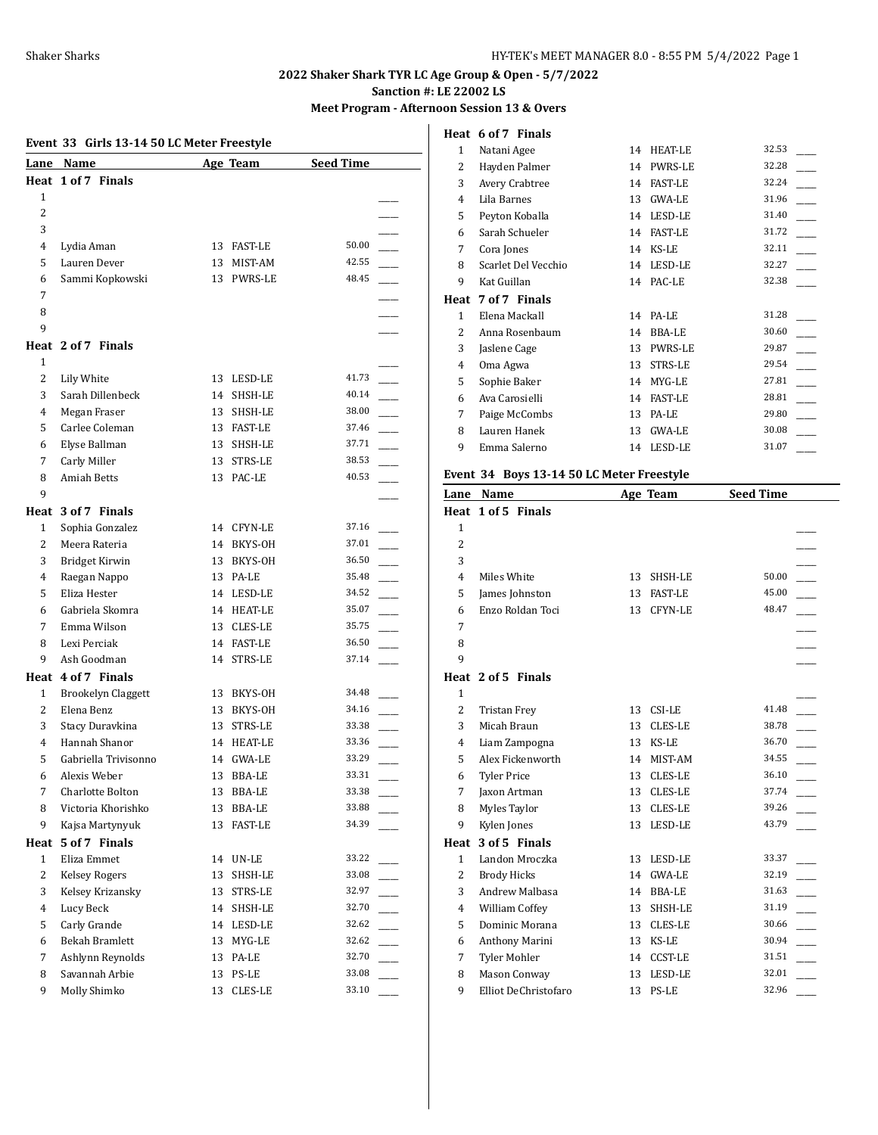# **2022 Shaker Shark TYR LC Age Group & Open - 5/7/2022**

**Sanction #: LE 22002 LS**

#### **Meet Program - Afternoon Session 13 & Overs**

# **Event 33 Girls 13-14 50 LC Meter Freestyle Lane Name Age Team Seed Time Heat 1 of 7 Finals** 1  $\overline{\phantom{a}}$ 2 \_\_\_\_\_  $3$ 4 Lydia Aman 13 FAST-LE 50.00 5 Lauren Dever 13 MIST-AM 42.55 6 Sammi Kopkowski 13 PWRS-LE 48.45 7 \_\_\_\_\_ 8 \_\_\_\_\_  $9$ **Heat 2 of 7 Finals** 1  $\overline{\phantom{a}}$ 2 Lily White 13 LESD-LE 41.73 3 Sarah Dillenbeck 14 SHSH-LE 40.14 4 Megan Fraser 13 SHSH-LE 38.00 5 Carlee Coleman 13 FAST-LE 37.46 6 Elyse Ballman 13 SHSH-LE 37.71 7 Carly Miller 13 STRS-LE 38.53 8 Amiah Betts 13 PAC-LE 40.53  $9$ **Heat 3 of 7 Finals** 1 Sophia Gonzalez 14 CFYN-LE 37.16 2 Meera Rateria 14 BKYS-OH 37.01 3 Bridget Kirwin 13 BKYS-OH 36.50 4 Raegan Nappo 13 PA-LE 35.48 5 Eliza Hester 14 LESD-LE 34.52 6 Gabriela Skomra 14 HEAT-LE 35.07 \_\_\_\_\_ 7 Emma Wilson 13 CLES-LE 35.75 8 Lexi Perciak 14 FAST-LE 36.50 9 Ash Goodman 14 STRS-LE 37.14 **Heat 4 of 7 Finals** 1 Brookelyn Claggett 13 BKYS-OH 34.48 2 Elena Benz 13 BKYS-OH 34.16 3 Stacy Duravkina 13 STRS-LE 33.38 4 Hannah Shanor 14 HEAT-LE 33.36 5 Gabriella Trivisonno 14 GWA-LE 33.29 \_\_\_\_\_ 6 Alexis Weber 13 BBA-LE 33.31 \_\_\_\_\_ 7 Charlotte Bolton 13 BBA-LE 33.38 8 Victoria Khorishko 13 BBA-LE 33.88 9 Kajsa Martynyuk 13 FAST-LE 34.39 **Heat 5 of 7 Finals** 1 Eliza Emmet 14 UN-LE 33.22 2 Kelsey Rogers 13 SHSH-LE 33.08 3 Kelsey Krizansky 13 STRS-LE 32.97 4 Lucy Beck 14 SHSH-LE 32.70 \_\_\_\_\_ 5 Carly Grande 14 LESD-LE 32.62 6 Bekah Bramlett 13 MYG-LE 32.62 \_\_\_\_\_ 7 Ashlynn Reynolds 13 PA-LE 32.70 8 Savannah Arbie 13 PS-LE 33.08 9 Molly Shimko 13 CLES-LE 33.10

|                | Heat 6 of 7 Finals  |    |                |       |
|----------------|---------------------|----|----------------|-------|
| 1              | Natani Agee         | 14 | HEAT-LE        | 32.53 |
| 2              | Hayden Palmer       | 14 | <b>PWRS-LE</b> | 32.28 |
| 3              | Avery Crabtree      | 14 | <b>FAST-LE</b> | 32.24 |
| $\overline{4}$ | Lila Barnes         | 13 | <b>GWA-LE</b>  | 31.96 |
| 5              | Peyton Koballa      | 14 | LESD-LE        | 31.40 |
| 6              | Sarah Schueler      | 14 | <b>FAST-LE</b> | 31.72 |
| 7              | Cora Jones          | 14 | KS-LE          | 32.11 |
| 8              | Scarlet Del Vecchio | 14 | LESD-LE        | 32.27 |
| 9              | Kat Guillan         | 14 | PAC-LE         | 32.38 |
|                |                     |    |                |       |
| Heat           | 7 of 7 Finals       |    |                |       |
| 1              | Elena Mackall       | 14 | PA-LE          | 31.28 |
| 2              | Anna Rosenbaum      | 14 | BBA-LE         | 30.60 |
| 3              | Jaslene Cage        | 13 | <b>PWRS-LE</b> | 29.87 |
| 4              | Oma Agwa            | 13 | <b>STRS-LE</b> | 29.54 |
| 5              | Sophie Baker        | 14 | MYG-LE         | 27.81 |
| 6              | Ava Carosielli      | 14 | <b>FAST-LE</b> | 28.81 |
| 7              | Paige McCombs       | 13 | PA-LE          | 29.80 |
| 8              | Lauren Hanek        | 13 | <b>GWA-LE</b>  | 30.08 |
| 9              | Emma Salerno        | 14 | LESD-LE        | 31.07 |

#### **Event 34 Boys 13-14 50 LC Meter Freestyle**

| Lane           | Name                 |    | Age Team       | <b>Seed Time</b> |  |
|----------------|----------------------|----|----------------|------------------|--|
|                | Heat 1 of 5 Finals   |    |                |                  |  |
| $\mathbf{1}$   |                      |    |                |                  |  |
| $\overline{2}$ |                      |    |                |                  |  |
| 3              |                      |    |                |                  |  |
| 4              | Miles White          | 13 | SHSH-LE        | 50.00            |  |
| 5              | James Johnston       | 13 | <b>FAST-LE</b> | 45.00            |  |
| 6              | Enzo Roldan Toci     | 13 | CFYN-LE        | 48.47            |  |
| 7              |                      |    |                |                  |  |
| 8              |                      |    |                |                  |  |
| 9              |                      |    |                |                  |  |
|                | Heat 2 of 5 Finals   |    |                |                  |  |
| $\mathbf{1}$   |                      |    |                |                  |  |
| $\overline{2}$ | <b>Tristan Frey</b>  | 13 | CSI-LE         | 41.48            |  |
| 3              | Micah Braun          | 13 | CLES-LE        | 38.78            |  |
| 4              | Liam Zampogna        | 13 | KS-LE          | 36.70            |  |
| 5              | Alex Fickenworth     | 14 | MIST-AM        | 34.55            |  |
| 6              | <b>Tyler Price</b>   | 13 | CLES-LE        | 36.10            |  |
| 7              | Jaxon Artman         | 13 | CLES-LE        | 37.74            |  |
| 8              | Myles Taylor         | 13 | CLES-LE        | 39.26            |  |
| 9              | Kylen Jones          | 13 | LESD-LE        | 43.79            |  |
| Heat           | 3 of 5 Finals        |    |                |                  |  |
| $\mathbf{1}$   | Landon Mroczka       | 13 | LESD-LE        | 33.37            |  |
| 2              | <b>Brody Hicks</b>   | 14 | GWA-LE         | 32.19            |  |
| 3              | Andrew Malbasa       | 14 | <b>BBA-LE</b>  | 31.63            |  |
| $\overline{4}$ | William Coffey       | 13 | SHSH-LE        | 31.19            |  |
| 5              | Dominic Morana       | 13 | <b>CLES-LE</b> | 30.66            |  |
| 6              | Anthony Marini       | 13 | KS-LE          | 30.94            |  |
| 7              | Tyler Mohler         | 14 | <b>CCST-LE</b> | 31.51            |  |
| 8              | <b>Mason Conway</b>  | 13 | LESD-LE        | 32.01            |  |
| 9              | Elliot DeChristofaro | 13 | PS-LE          | 32.96            |  |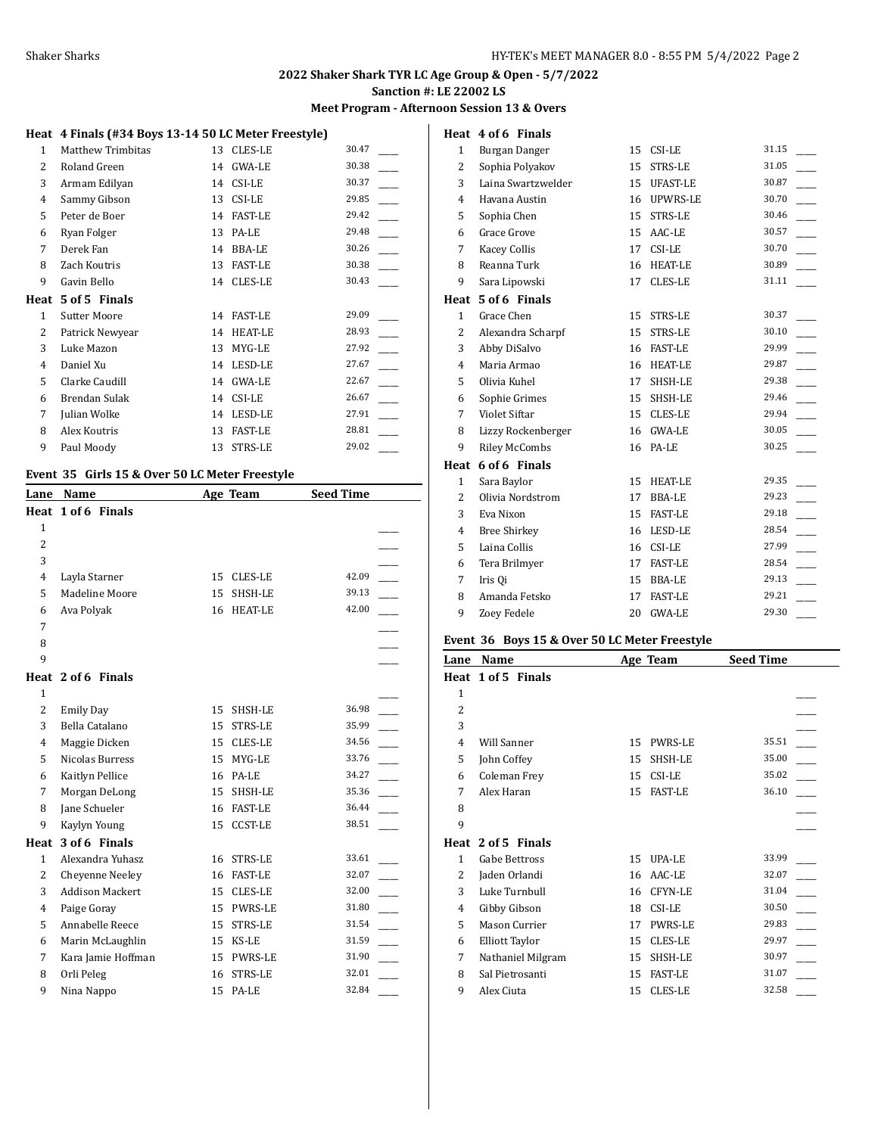**Meet Program - Afternoon Session 13 & Overs**

**Heat 4 of 6 Finals**

## **Heat 4 Finals (#34 Boys 13-14 50 LC Meter Freestyle)**

| 1    | Matthew Trimbitas   | 13 | <b>CLES-LE</b> | 30.47 |
|------|---------------------|----|----------------|-------|
| 2    | Roland Green        | 14 | GWA-LE         | 30.38 |
| 3    | Armam Edilyan       | 14 | CSI-LE         | 30.37 |
| 4    | Sammy Gibson        | 13 | CSI-LE         | 29.85 |
| 5    | Peter de Boer       | 14 | <b>FAST-LE</b> | 29.42 |
| 6    | Ryan Folger         | 13 | PA-LE          | 29.48 |
| 7    | Derek Fan           | 14 | <b>BBA-LE</b>  | 30.26 |
| 8    | Zach Koutris        | 13 | <b>FAST-LE</b> | 30.38 |
| 9    | Gavin Bello         | 14 | CLES-LE        | 30.43 |
| Heat | 5 of 5 Finals       |    |                |       |
|      |                     |    |                |       |
| 1    | <b>Sutter Moore</b> | 14 | <b>FAST-LE</b> | 29.09 |
| 2    | Patrick Newyear     | 14 | <b>HEAT-LE</b> | 28.93 |
| 3    | Luke Mazon          | 13 | MYG-LE         | 27.92 |
| 4    | Daniel Xu           | 14 | LESD-LE        | 27.67 |
| 5    | Clarke Caudill      | 14 | <b>GWA-LE</b>  | 22.67 |
| 6    | Brendan Sulak       | 14 | CSI-LE         | 26.67 |
| 7    | Julian Wolke        | 14 | LESD-LE        | 27.91 |
| 8    | Alex Koutris        | 13 | <b>FAST-LE</b> | 28.81 |
| 9    | Paul Moody          | 13 | STRS-LE        | 29.02 |

# **Event 35 Girls 15 & Over 50 LC Meter Freestyle**

| Name                   |    |                | <b>Seed Time</b>                                     |  |
|------------------------|----|----------------|------------------------------------------------------|--|
| Heat 1 of 6 Finals     |    |                |                                                      |  |
|                        |    |                |                                                      |  |
|                        |    |                |                                                      |  |
|                        |    |                |                                                      |  |
| Layla Starner          |    | <b>CLES-LE</b> | 42.09                                                |  |
| Madeline Moore         | 15 | SHSH-LE        | 39.13                                                |  |
| Ava Polyak             | 16 |                | 42.00                                                |  |
|                        |    |                |                                                      |  |
|                        |    |                |                                                      |  |
|                        |    |                |                                                      |  |
| Heat 2 of 6 Finals     |    |                |                                                      |  |
|                        |    |                |                                                      |  |
| <b>Emily Day</b>       | 15 | SHSH-LE        | 36.98                                                |  |
| Bella Catalano         | 15 | <b>STRS-LE</b> | 35.99                                                |  |
| Maggie Dicken          | 15 | <b>CLES-LE</b> | 34.56                                                |  |
| Nicolas Burress        | 15 | MYG-LE         | 33.76                                                |  |
| Kaitlyn Pellice        | 16 | PA-LE          | 34.27                                                |  |
| Morgan DeLong          | 15 | SHSH-LE        | 35.36                                                |  |
| Jane Schueler          |    |                | 36.44                                                |  |
| Kaylyn Young           | 15 | <b>CCST-LE</b> | 38.51                                                |  |
| 3 of 6 Finals          |    |                |                                                      |  |
| Alexandra Yuhasz       | 16 | <b>STRS-LE</b> | 33.61                                                |  |
| Cheyenne Neeley        | 16 | <b>FAST-LE</b> | 32.07                                                |  |
| <b>Addison Mackert</b> |    | <b>CLES-LE</b> | 32.00                                                |  |
| Paige Goray            | 15 | PWRS-LE        | 31.80                                                |  |
| Annabelle Reece        | 15 | <b>STRS-LE</b> | 31.54                                                |  |
| Marin McLaughlin       | 15 | KS-LE          | 31.59                                                |  |
| Kara Jamie Hoffman     | 15 | PWRS-LE        | 31.90                                                |  |
| Orli Peleg             | 16 | STRS-LE        | 32.01                                                |  |
| Nina Nappo             | 15 | PA-LE          | 32.84                                                |  |
|                        |    |                | Age Team<br>15<br><b>HEAT-LE</b><br>16 FAST-LE<br>15 |  |

| $\mathbf{1}$   | Burgan Danger        | 15 | CSI-LE         | 31.15 |
|----------------|----------------------|----|----------------|-------|
| 2              | Sophia Polyakov      | 15 | STRS-LE        | 31.05 |
| 3              | Laina Swartzwelder   | 15 | UFAST-LE       | 30.87 |
| $\overline{4}$ | Havana Austin        | 16 | UPWRS-LE       | 30.70 |
| 5              | Sophia Chen          | 15 | <b>STRS-LE</b> | 30.46 |
| 6              | Grace Grove          | 15 | AAC-LE         | 30.57 |
| 7              | <b>Kacey Collis</b>  | 17 | CSI-LE         | 30.70 |
| 8              | Reanna Turk          | 16 | HEAT-LE        | 30.89 |
| 9              | Sara Lipowski        | 17 | CLES-LE        | 31.11 |
|                | Heat 5 of 6 Finals   |    |                |       |
| $\mathbf{1}$   | Grace Chen           | 15 | STRS-LE        | 30.37 |
| $\overline{2}$ | Alexandra Scharpf    | 15 | STRS-LE        | 30.10 |
| 3              | Abby DiSalvo         | 16 | <b>FAST-LE</b> | 29.99 |
| $\overline{4}$ | Maria Armao          | 16 | HEAT-LE        | 29.87 |
| 5              | Olivia Kuhel         | 17 | SHSH-LE        | 29.38 |
| 6              | Sophie Grimes        | 15 | SHSH-LE        | 29.46 |
| 7              | Violet Siftar        | 15 | CLES-LE        | 29.94 |
| 8              | Lizzy Rockenberger   | 16 | <b>GWA-LE</b>  | 30.05 |
| 9              | <b>Riley McCombs</b> | 16 | PA-LE          | 30.25 |
|                | Heat 6 of 6 Finals   |    |                |       |
| $\mathbf{1}$   | Sara Baylor          | 15 | <b>HEAT-LE</b> | 29.35 |
| $\overline{2}$ | Olivia Nordstrom     | 17 | BBA-LE         | 29.23 |
| 3              | Eva Nixon            | 15 | <b>FAST-LE</b> | 29.18 |
| $\overline{4}$ | <b>Bree Shirkey</b>  | 16 | LESD-LE        | 28.54 |
| 5              | Laina Collis         | 16 | CSI-LE         | 27.99 |
| 6              | Tera Brilmyer        | 17 | <b>FAST-LE</b> | 28.54 |
| 7              | Iris Qi              | 15 | <b>BBA-LE</b>  | 29.13 |
| 8              | Amanda Fetsko        | 17 | <b>FAST-LE</b> | 29.21 |
| 9              | Zoey Fedele          | 20 | <b>GWA-LE</b>  | 29.30 |

#### **Event 36 Boys 15 & Over 50 LC Meter Freestyle**

| Lane           | Name                  |    | Age Team       | <b>Seed Time</b> |  |
|----------------|-----------------------|----|----------------|------------------|--|
|                | Heat 1 of 5 Finals    |    |                |                  |  |
| 1              |                       |    |                |                  |  |
| $\overline{c}$ |                       |    |                |                  |  |
| 3              |                       |    |                |                  |  |
| 4              | Will Sanner           | 15 | PWRS-LE        | 35.51            |  |
| 5              | John Coffey           | 15 | SHSH-LE        | 35.00            |  |
| 6              | Coleman Frey          | 15 | CSI-LE         | 35.02            |  |
| 7              | Alex Haran            | 15 | <b>FAST-LE</b> | 36.10            |  |
| 8              |                       |    |                |                  |  |
| 9              |                       |    |                |                  |  |
| Heat           | 2 of 5 Finals         |    |                |                  |  |
| 1              | Gabe Bettross         | 15 | UPA-LE         | 33.99            |  |
| 2              | Jaden Orlandi         | 16 | AAC-LE         | 32.07            |  |
| 3              | Luke Turnbull         | 16 | CFYN-LE        | 31.04            |  |
| 4              | Gibby Gibson          | 18 | CSI-LE         | 30.50            |  |
| 5              | Mason Currier         | 17 | <b>PWRS-LE</b> | 29.83            |  |
| 6              | <b>Elliott Taylor</b> | 15 | <b>CLES-LE</b> | 29.97            |  |
| 7              | Nathaniel Milgram     | 15 | SHSH-LE        | 30.97            |  |
| 8              | Sal Pietrosanti       | 15 | <b>FAST-LE</b> | 31.07            |  |
| 9              | Alex Ciuta            | 15 | <b>CLES-LE</b> | 32.58            |  |
|                |                       |    |                |                  |  |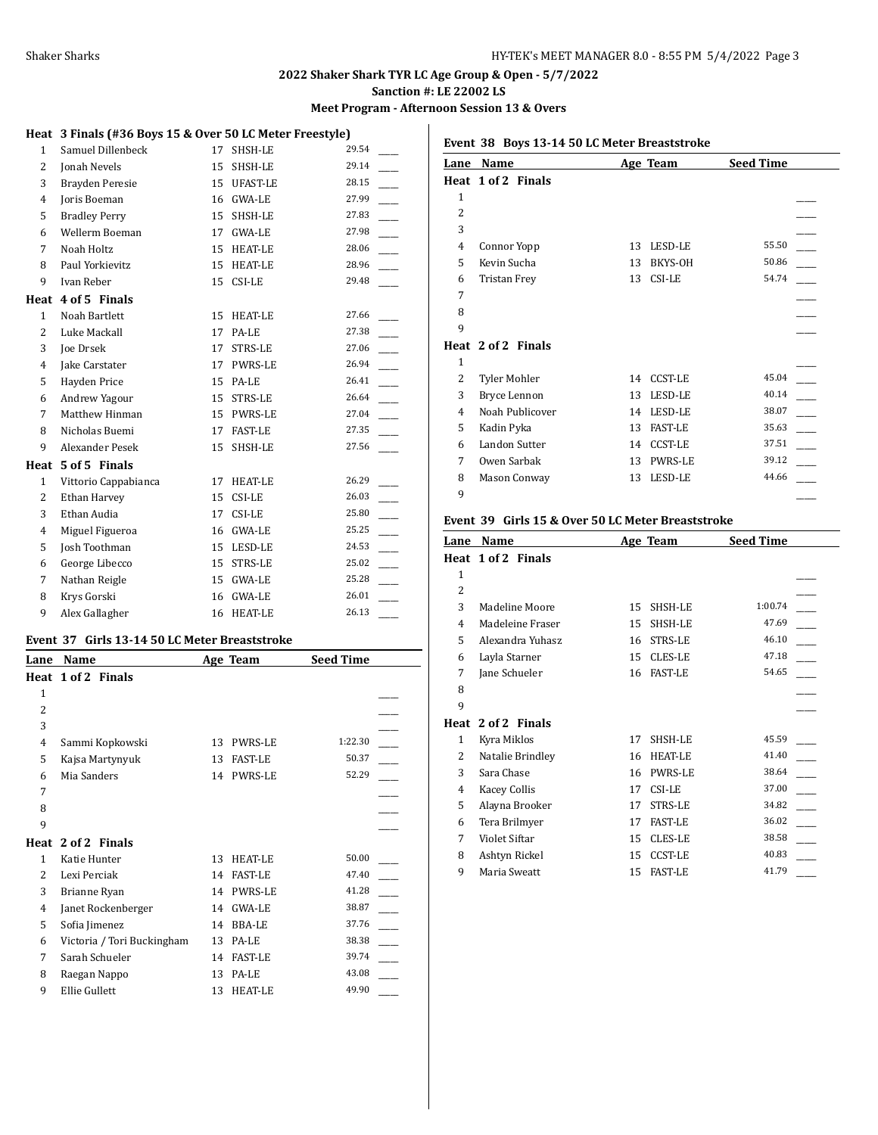**Meet Program - Afternoon Session 13 & Overs**

# **Heat 3 Finals (#36 Boys 15 & Over 50 LC Meter Freestyle)**

| $\mathbf{1}$   | Samuel Dillenbeck      | 17 | SHSH-LE         | 29.54 |
|----------------|------------------------|----|-----------------|-------|
| $\overline{2}$ | Jonah Nevels           | 15 | SHSH-LE         | 29.14 |
| 3              | Brayden Peresie        | 15 | <b>UFAST-LE</b> | 28.15 |
| 4              | Joris Boeman           | 16 | GWA-LE          | 27.99 |
| 5              | <b>Bradley Perry</b>   | 15 | SHSH-LE         | 27.83 |
| 6              | Wellerm Boeman         | 17 | <b>GWA-LE</b>   | 27.98 |
| 7              | Noah Holtz             | 15 | <b>HEAT-LE</b>  | 28.06 |
| 8              | Paul Yorkievitz        |    | 15 HEAT-LE      | 28.96 |
| 9              | Ivan Reber             | 15 | CSI-LE          | 29.48 |
| Heat           | 4 of 5 Finals          |    |                 |       |
| $\mathbf{1}$   | Noah Bartlett          | 15 | <b>HEAT-LE</b>  | 27.66 |
| $\overline{2}$ | Luke Mackall           | 17 | PA-LE           | 27.38 |
| 3              | <b>Joe Drsek</b>       | 17 | STRS-LE         | 27.06 |
| 4              | Jake Carstater         | 17 | PWRS-LE         | 26.94 |
| 5              | Hayden Price           | 15 | PA-LE           | 26.41 |
| 6              | Andrew Yagour          | 15 | STRS-LE         | 26.64 |
| 7              | Matthew Hinman         | 15 | PWRS-LE         | 27.04 |
| 8              | Nicholas Buemi         | 17 | <b>FAST-LE</b>  | 27.35 |
| 9              | <b>Alexander Pesek</b> | 15 | SHSH-LE         | 27.56 |
| Heat           | 5 of 5 Finals          |    |                 |       |
| $\mathbf{1}$   | Vittorio Cappabianca   | 17 | HEAT-LE         | 26.29 |
| $\overline{2}$ | Ethan Harvey           | 15 | CSI-LE          | 26.03 |
| 3              | Ethan Audia            | 17 | CSI-LE          | 25.80 |
| 4              | Miguel Figueroa        | 16 | GWA-LE          | 25.25 |
| 5              | Josh Toothman          | 15 | LESD-LE         | 24.53 |
| 6              | George Libecco         | 15 | STRS-LE         | 25.02 |
| 7              | Nathan Reigle          | 15 | GWA-LE          | 25.28 |
| 8              | Krys Gorski            | 16 | GWA-LE          | 26.01 |
| 9              | Alex Gallagher         | 16 | <b>HEAT-LE</b>  | 26.13 |

#### **Event 37 Girls 13-14 50 LC Meter Breaststroke**

| Lane         | Name                       |    | Age Team       | <b>Seed Time</b> |  |
|--------------|----------------------------|----|----------------|------------------|--|
| Heat         | 1 of 2 Finals              |    |                |                  |  |
| $\mathbf{1}$ |                            |    |                |                  |  |
| 2            |                            |    |                |                  |  |
| 3            |                            |    |                |                  |  |
| 4            | Sammi Kopkowski            | 13 | <b>PWRS-LE</b> | 1:22.30          |  |
| 5            | Kajsa Martynyuk            | 13 | <b>FAST-LE</b> | 50.37            |  |
| 6            | Mia Sanders                | 14 | <b>PWRS-LE</b> | 52.29            |  |
| 7            |                            |    |                |                  |  |
| 8            |                            |    |                |                  |  |
| 9            |                            |    |                |                  |  |
| Heat         | 2 of 2 Finals              |    |                |                  |  |
| 1            | Katie Hunter               | 13 | HEAT-LE        | 50.00            |  |
| 2            | Lexi Perciak               | 14 | <b>FAST-LE</b> | 47.40            |  |
| 3            | Brianne Ryan               | 14 | <b>PWRS-LE</b> | 41.28            |  |
| 4            | Janet Rockenberger         | 14 | <b>GWA-LE</b>  | 38.87            |  |
| 5            | Sofia Jimenez              | 14 | BBA-LE         | 37.76            |  |
| 6            | Victoria / Tori Buckingham | 13 | PA-LE          | 38.38            |  |
| 7            | Sarah Schueler             | 14 | <b>FAST-LE</b> | 39.74            |  |
| 8            | Raegan Nappo               | 13 | PA-LE          | 43.08            |  |
| 9            | Ellie Gullett              | 13 | <b>HEAT-LE</b> | 49.90            |  |
|              |                            |    |                |                  |  |

#### **Event 38 Boys 13-14 50 LC Meter Breaststroke**

|                | Lane Name            |    | Age Team       | <b>Seed Time</b> |
|----------------|----------------------|----|----------------|------------------|
|                | Heat 1 of 2 Finals   |    |                |                  |
| $\mathbf{1}$   |                      |    |                |                  |
| 2              |                      |    |                |                  |
| 3              |                      |    |                |                  |
| $\overline{4}$ | Connor Yopp          | 13 | LESD-LE        | 55.50            |
| 5              | Kevin Sucha          | 13 | BKYS-OH        | 50.86            |
| 6              | <b>Tristan Frey</b>  | 13 | CSI-LE         | 54.74            |
| 7              |                      |    |                |                  |
| 8              |                      |    |                |                  |
| 9              |                      |    |                |                  |
|                | Heat 2 of 2 Finals   |    |                |                  |
| $\mathbf{1}$   |                      |    |                |                  |
| 2              | Tyler Mohler         | 14 | <b>CCST-LE</b> | 45.04            |
| 3              | Bryce Lennon         | 13 | LESD-LE        | 40.14            |
| $\overline{4}$ | Noah Publicover      | 14 | LESD-LE        | 38.07            |
| 5              | Kadin Pyka           | 13 | <b>FAST-LE</b> | 35.63            |
| 6              | <b>Landon Sutter</b> | 14 | <b>CCST-LE</b> | 37.51            |
| 7              | Owen Sarbak          | 13 | PWRS-LE        | 39.12            |
| 8              | Mason Conway         | 13 | LESD-LE        | 44.66            |
| 9              |                      |    |                |                  |

#### **Event 39 Girls 15 & Over 50 LC Meter Breaststroke**

| Lane           | Name               |    | Age Team       | <b>Seed Time</b> |  |
|----------------|--------------------|----|----------------|------------------|--|
|                | Heat 1 of 2 Finals |    |                |                  |  |
| 1              |                    |    |                |                  |  |
| $\overline{c}$ |                    |    |                |                  |  |
| 3              | Madeline Moore     | 15 | SHSH-LE        | 1:00.74          |  |
| 4              | Madeleine Fraser   | 15 | SHSH-LE        | 47.69            |  |
| 5              | Alexandra Yuhasz   | 16 | STRS-LE        | 46.10            |  |
| 6              | Layla Starner      | 15 | CLES-LE        | 47.18            |  |
| 7              | Jane Schueler      | 16 | <b>FAST-LE</b> | 54.65            |  |
| 8              |                    |    |                |                  |  |
| 9              |                    |    |                |                  |  |
| Heat           | 2 of 2 Finals      |    |                |                  |  |
| $\mathbf{1}$   | Kyra Miklos        | 17 | SHSH-LE        | 45.59            |  |
| 2              | Natalie Brindley   | 16 | <b>HEAT-LE</b> | 41.40            |  |
| 3              | Sara Chase         | 16 | <b>PWRS-LE</b> | 38.64            |  |
| 4              | Kacey Collis       | 17 | CSI-LE         | 37.00            |  |
| 5              | Alayna Brooker     | 17 | STRS-LE        | 34.82            |  |
| 6              | Tera Brilmyer      | 17 | <b>FAST-LE</b> | 36.02            |  |
| 7              | Violet Siftar      | 15 | CLES-LE        | 38.58            |  |
| 8              | Ashtyn Rickel      | 15 | <b>CCST-LE</b> | 40.83            |  |
| 9              | Maria Sweatt       | 15 | <b>FAST-LE</b> | 41.79            |  |
|                |                    |    |                |                  |  |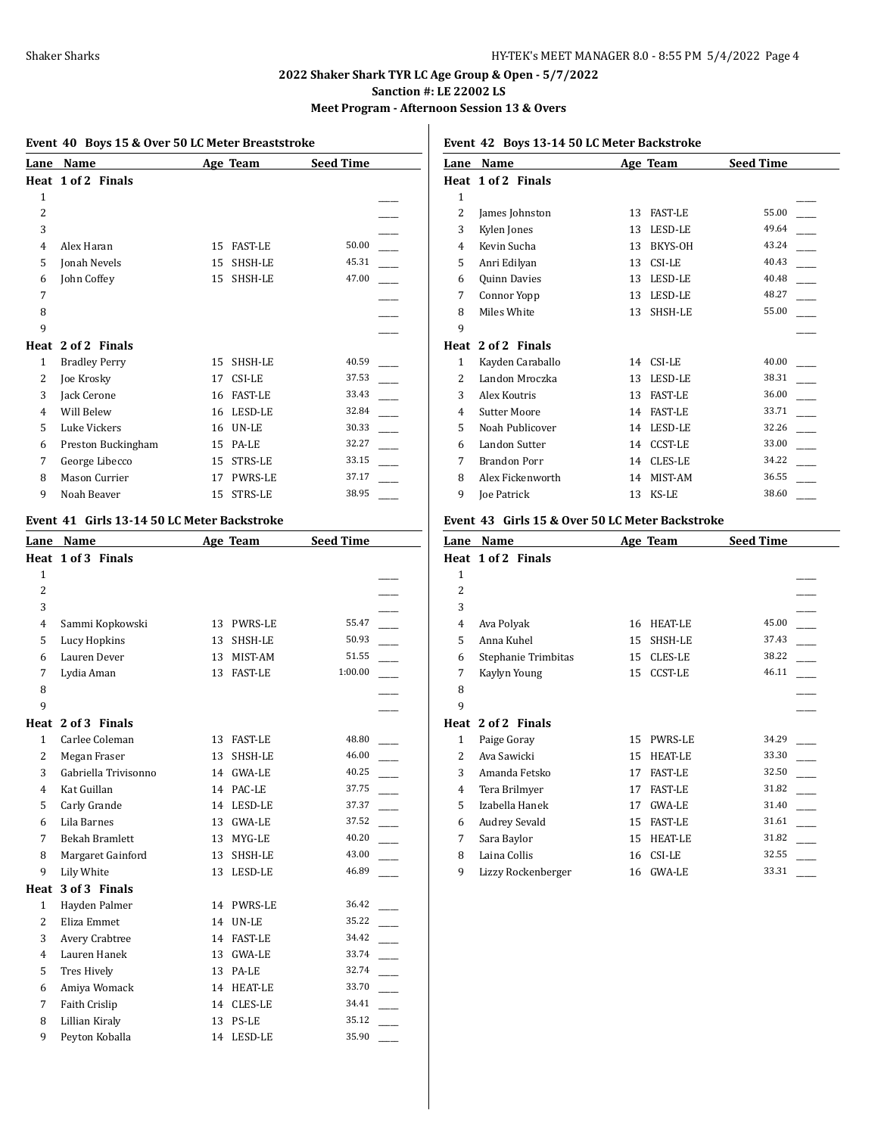**Meet Program - Afternoon Session 13 & Overs**

|              | Event 40 Boys 15 & Over 50 LC Meter Breaststroke |    |                |                  |  |
|--------------|--------------------------------------------------|----|----------------|------------------|--|
| Lane         | Name                                             |    | Age Team       | <b>Seed Time</b> |  |
|              | Heat 1 of 2 Finals                               |    |                |                  |  |
| $\mathbf{1}$ |                                                  |    |                |                  |  |
| 2            |                                                  |    |                |                  |  |
| 3            |                                                  |    |                |                  |  |
| 4            | Alex Haran                                       | 15 | <b>FAST-LE</b> | 50.00            |  |
| 5            | Jonah Nevels                                     | 15 | SHSH-LE        | 45.31            |  |
| 6            | John Coffey                                      | 15 | SHSH-LE        | 47.00            |  |
| 7            |                                                  |    |                |                  |  |
| 8            |                                                  |    |                |                  |  |
| 9            |                                                  |    |                |                  |  |
|              | Heat 2 of 2 Finals                               |    |                |                  |  |
| 1            | <b>Bradley Perry</b>                             | 15 | SHSH-LE        | 40.59            |  |
| 2            | Joe Krosky                                       | 17 | CSI-LE         | 37.53            |  |
| 3            | Jack Cerone                                      | 16 | <b>FAST-LE</b> | 33.43            |  |
| 4            | Will Belew                                       | 16 | LESD-LE        | 32.84            |  |
| 5            | Luke Vickers                                     | 16 | UN-LE          | 30.33            |  |
| 6            | Preston Buckingham                               | 15 | PA-LE          | 32.27            |  |
| 7            | George Libecco                                   | 15 | STRS-LE        | 33.15            |  |
| 8            | Mason Currier                                    | 17 | PWRS-LE        | 37.17            |  |
| 9            | Noah Beaver                                      | 15 | STRS-LE        | 38.95            |  |

## **Event 41 Girls 13-14 50 LC Meter Backstroke**

| Lane           | Name                  |    | Age Team       | <b>Seed Time</b> |  |
|----------------|-----------------------|----|----------------|------------------|--|
|                | Heat 1 of 3 Finals    |    |                |                  |  |
| $\mathbf{1}$   |                       |    |                |                  |  |
| $\overline{2}$ |                       |    |                |                  |  |
| 3              |                       |    |                |                  |  |
| 4              | Sammi Kopkowski       | 13 | PWRS-LE        | 55.47            |  |
| 5              | Lucy Hopkins          | 13 | SHSH-LE        | 50.93            |  |
| 6              | Lauren Dever          |    | 13 MIST-AM     | 51.55            |  |
| 7              | Lydia Aman            | 13 | <b>FAST-LE</b> | 1:00.00          |  |
| 8              |                       |    |                |                  |  |
| 9              |                       |    |                |                  |  |
|                | Heat 2 of 3 Finals    |    |                |                  |  |
| $\mathbf{1}$   | Carlee Coleman        | 13 | FAST-LE        | 48.80            |  |
| 2              | Megan Fraser          | 13 | SHSH-LE        | 46.00            |  |
| 3              | Gabriella Trivisonno  |    | 14 GWA-LE      | 40.25            |  |
| 4              | Kat Guillan           | 14 | PAC-LE         | 37.75            |  |
| 5              | Carly Grande          | 14 | LESD-LE        | 37.37            |  |
| 6              | Lila Barnes           | 13 | <b>GWA-LE</b>  | 37.52            |  |
| 7              | <b>Bekah Bramlett</b> | 13 | MYG-LE         | 40.20            |  |
| 8              | Margaret Gainford     | 13 | SHSH-LE        | 43.00            |  |
| 9              | Lily White            | 13 | LESD-LE        | 46.89            |  |
| Heat           | 3 of 3 Finals         |    |                |                  |  |
| $\mathbf{1}$   | Hayden Palmer         | 14 | <b>PWRS-LE</b> | 36.42            |  |
| $\overline{c}$ | Eliza Emmet           | 14 | <b>UN-LE</b>   | 35.22            |  |
| 3              | Avery Crabtree        | 14 | <b>FAST-LE</b> | 34.42            |  |
| $\overline{4}$ | Lauren Hanek          | 13 | <b>GWA-LE</b>  | 33.74            |  |
| 5              | <b>Tres Hively</b>    | 13 | PA-LE          | 32.74            |  |
| 6              | Amiya Womack          | 14 | <b>HEAT-LE</b> | 33.70            |  |
| 7              | Faith Crislip         | 14 | <b>CLES-LE</b> | 34.41            |  |
| 8              | Lillian Kiraly        | 13 | PS-LE          | 35.12            |  |
| 9              | Peyton Koballa        | 14 | LESD-LE        | 35.90            |  |

**Event 42 Boys 13-14 50 LC Meter Backstroke**

| Name                |    |                | <b>Seed Time</b> |
|---------------------|----|----------------|------------------|
| Heat 1 of 2 Finals  |    |                |                  |
|                     |    |                |                  |
| James Johnston      | 13 | <b>FAST-LE</b> | 55.00            |
| Kylen Jones         | 13 | LESD-LE        | 49.64            |
| Kevin Sucha         | 13 | BKYS-OH        | 43.24            |
| Anri Edilyan        | 13 | CSI-LE         | 40.43            |
| Quinn Davies        | 13 | LESD-LE        | 40.48            |
| Connor Yopp         | 13 | LESD-LE        | 48.27            |
| Miles White         | 13 | SHSH-LE        | 55.00            |
|                     |    |                |                  |
| 2 of 2 Finals       |    |                |                  |
| Kayden Caraballo    | 14 | CSI-LE         | 40.00            |
| Landon Mroczka      | 13 | LESD-LE        | 38.31            |
| Alex Koutris        | 13 | <b>FAST-LE</b> | 36.00            |
| <b>Sutter Moore</b> | 14 | <b>FAST-LE</b> | 33.71            |
| Noah Publicover     | 14 | LESD-LE        | 32.26            |
| Landon Sutter       | 14 | <b>CCST-LE</b> | 33.00            |
| <b>Brandon Porr</b> | 14 | CLES-LE        | 34.22            |
| Alex Fickenworth    | 14 | MIST-AM        | 36.55            |
| Joe Patrick         | 13 | KS-LE          | 38.60            |
|                     |    |                | Age Team         |

#### **Event 43 Girls 15 & Over 50 LC Meter Backstroke**

| Lane           | Name                 |    | Age Team       | <b>Seed Time</b> |  |
|----------------|----------------------|----|----------------|------------------|--|
|                | Heat 1 of 2 Finals   |    |                |                  |  |
| 1              |                      |    |                |                  |  |
| $\overline{c}$ |                      |    |                |                  |  |
| 3              |                      |    |                |                  |  |
| 4              | Ava Polyak           | 16 | <b>HEAT-LE</b> | 45.00            |  |
| 5              | Anna Kuhel           | 15 | SHSH-LE        | 37.43            |  |
| 6              | Stephanie Trimbitas  | 15 | CLES-LE        | 38.22            |  |
| 7              | Kaylyn Young         | 15 | <b>CCST-LE</b> | 46.11            |  |
| 8              |                      |    |                |                  |  |
| 9              |                      |    |                |                  |  |
| Heat           | 2 of 2 Finals        |    |                |                  |  |
| 1              | Paige Goray          | 15 | <b>PWRS-LE</b> | 34.29            |  |
| 2              | Ava Sawicki          | 15 | <b>HEAT-LE</b> | 33.30            |  |
| 3              | Amanda Fetsko        | 17 | <b>FAST-LE</b> | 32.50            |  |
| 4              | Tera Brilmyer        | 17 | <b>FAST-LE</b> | 31.82            |  |
| 5              | Izabella Hanek       | 17 | GWA-LE         | 31.40            |  |
| 6              | <b>Audrey Sevald</b> | 15 | <b>FAST-LE</b> | 31.61            |  |
| 7              | Sara Baylor          | 15 | <b>HEAT-LE</b> | 31.82            |  |
| 8              | Laina Collis         | 16 | CSI-LE         | 32.55            |  |
| 9              | Lizzy Rockenberger   | 16 | <b>GWA-LE</b>  | 33.31            |  |
|                |                      |    |                |                  |  |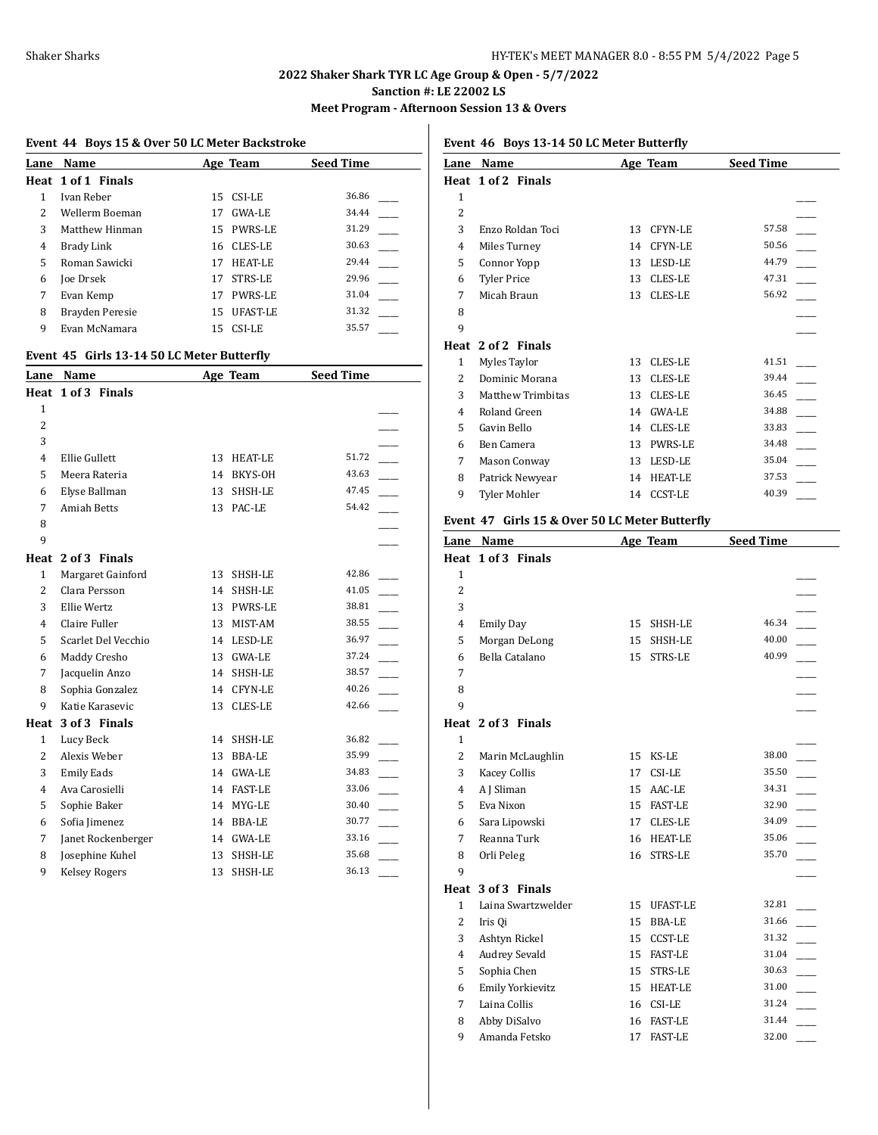**Meet Program - Afternoon Session 13 & Overs**

| Lane | Name               |    | Age Team        | <b>Seed Time</b> |
|------|--------------------|----|-----------------|------------------|
|      | Heat 1 of 1 Finals |    |                 |                  |
|      | Ivan Reber         |    | 15 CSI-LE       | 36.86            |
| 2    | Wellerm Boeman     | 17 | GWA-LE          | 34.44            |
| 3    | Matthew Hinman     |    | 15 PWRS-LE      | 31.29            |
| 4    | Brady Link         |    | 16 CLES-LE      | 30.63            |
| 5.   | Roman Sawicki      | 17 | <b>HEAT-LE</b>  | 29.44            |
| 6    | Joe Drsek          | 17 | <b>STRS-LE</b>  | 29.96            |
| 7    | Evan Kemp          | 17 | <b>PWRS-LE</b>  | 31.04            |
| 8    | Brayden Peresie    | 15 | <b>UFAST-LE</b> | 31.32            |
| 9    | Evan McNamara      | 15 | CSI-LE          | 35.57            |

#### **Event 45 Girls 13-14 50 LC Meter Butterfly**

| Lane           | Name                 |    | Age Team       | <b>Seed Time</b> |  |
|----------------|----------------------|----|----------------|------------------|--|
|                | Heat 1 of 3 Finals   |    |                |                  |  |
| $\mathbf{1}$   |                      |    |                |                  |  |
| $\overline{2}$ |                      |    |                |                  |  |
| 3              |                      |    |                |                  |  |
| 4              | Ellie Gullett        | 13 | <b>HEAT-LE</b> | 51.72            |  |
| 5              | Meera Rateria        | 14 | BKYS-OH        | 43.63            |  |
| 6              | Elyse Ballman        | 13 | SHSH-LE        | 47.45            |  |
| 7              | <b>Amiah Betts</b>   | 13 | PAC-LE         | 54.42            |  |
| 8              |                      |    |                |                  |  |
| 9              |                      |    |                |                  |  |
|                | Heat 2 of 3 Finals   |    |                |                  |  |
| $\mathbf{1}$   | Margaret Gainford    | 13 | SHSH-LE        | 42.86            |  |
| $\overline{2}$ | Clara Persson        | 14 | SHSH-LE        | 41.05            |  |
| 3              | Ellie Wertz          | 13 | <b>PWRS-LE</b> | 38.81            |  |
| 4              | Claire Fuller        | 13 | MIST-AM        | 38.55            |  |
| 5              | Scarlet Del Vecchio  | 14 | LESD-LE        | 36.97            |  |
| 6              | Maddy Cresho         | 13 | <b>GWA-LE</b>  | 37.24            |  |
| 7              | Jacquelin Anzo       | 14 | SHSH-LE        | 38.57            |  |
| 8              | Sophia Gonzalez      | 14 | <b>CFYN-LE</b> | 40.26            |  |
| 9              | Katie Karasevic      | 13 | <b>CLES-LE</b> | 42.66            |  |
| Heat           | 3 of 3 Finals        |    |                |                  |  |
| $\mathbf{1}$   | Lucy Beck            | 14 | SHSH-LE        | 36.82            |  |
| $\overline{2}$ | Alexis Weber         | 13 | BBA-LE         | 35.99            |  |
| 3              | <b>Emily Eads</b>    | 14 | <b>GWA-LE</b>  | 34.83            |  |
| 4              | Ava Carosielli       | 14 | <b>FAST-LE</b> | 33.06            |  |
| 5              | Sophie Baker         | 14 | MYG-LE         | 30.40            |  |
| 6              | Sofia Jimenez        | 14 | <b>BBA-LE</b>  | 30.77            |  |
| 7              | Janet Rockenberger   | 14 | <b>GWA-LE</b>  | 33.16            |  |
| 8              | Josephine Kuhel      | 13 | SHSH-LE        | 35.68            |  |
| 9              | <b>Kelsey Rogers</b> | 13 | SHSH-LE        | 36.13            |  |

# **Event 46 Boys 13-14 50 LC Meter Butterfly**

| Lane           | Name                     |    | Age Team       | <b>Seed Time</b> |
|----------------|--------------------------|----|----------------|------------------|
|                | Heat 1 of 2 Finals       |    |                |                  |
| 1              |                          |    |                |                  |
| $\overline{c}$ |                          |    |                |                  |
| 3              | Enzo Roldan Toci         | 13 | <b>CFYN-LE</b> | 57.58            |
| 4              | Miles Turney             | 14 | CFYN-LE        | 50.56            |
| 5              | Connor Yopp              | 13 | LESD-LE        | 44.79            |
| 6              | <b>Tyler Price</b>       | 13 | CLES-LE        | 47.31            |
| 7              | Micah Braun              | 13 | <b>CLES-LE</b> | 56.92            |
| 8              |                          |    |                |                  |
| 9              |                          |    |                |                  |
|                | Heat 2 of 2 Finals       |    |                |                  |
| $\mathbf{1}$   | Myles Taylor             | 13 | CLES-LE        | 41.51            |
| $\mathcal{L}$  | Dominic Morana           | 13 | <b>CLES-LE</b> | 39.44            |
| 3              | <b>Matthew Trimbitas</b> | 13 | <b>CLES-LE</b> | 36.45            |
| 4              | Roland Green             | 14 | <b>GWA-LE</b>  | 34.88            |
| 5              | Gavin Bello              | 14 | CLES-LE        | 33.83            |
| 6              | Ben Camera               | 13 | PWRS-LE        | 34.48            |
| 7              | <b>Mason Conway</b>      | 13 | LESD-LE        | 35.04            |
| 8              | Patrick Newyear          | 14 | <b>HEAT-LE</b> | 37.53            |
| 9              | Tyler Mohler             | 14 | <b>CCST-LE</b> | 40.39            |

#### **Event 47 Girls 15 & Over 50 LC Meter Butterfly**

| Lane           | Name                 |    | Age Team        | <b>Seed Time</b> |  |
|----------------|----------------------|----|-----------------|------------------|--|
|                | Heat 1 of 3 Finals   |    |                 |                  |  |
| $\mathbf{1}$   |                      |    |                 |                  |  |
| 2              |                      |    |                 |                  |  |
| 3              |                      |    |                 |                  |  |
| 4              | <b>Emily Day</b>     | 15 | SHSH-LE         | 46.34            |  |
| 5              | Morgan DeLong        | 15 | SHSH-LE         | 40.00            |  |
| 6              | Bella Catalano       | 15 | STRS-LE         | 40.99            |  |
| 7              |                      |    |                 |                  |  |
| 8              |                      |    |                 |                  |  |
| 9              |                      |    |                 |                  |  |
|                | Heat 2 of 3 Finals   |    |                 |                  |  |
| 1              |                      |    |                 |                  |  |
| $\overline{2}$ | Marin McLaughlin     | 15 | KS-LE           | 38.00            |  |
| 3              | <b>Kacey Collis</b>  | 17 | CSI-LE          | 35.50            |  |
| 4              | A J Sliman           | 15 | AAC-LE          | 34.31            |  |
| 5              | Eva Nixon            | 15 | <b>FAST-LE</b>  | 32.90            |  |
| 6              | Sara Lipowski        | 17 | <b>CLES-LE</b>  | 34.09            |  |
| 7              | Reanna Turk          | 16 | <b>HEAT-LE</b>  | 35.06            |  |
| 8              | Orli Peleg           | 16 | STRS-LE         | 35.70            |  |
| 9              |                      |    |                 |                  |  |
| Heat           | 3 of 3 Finals        |    |                 |                  |  |
| $\mathbf{1}$   | Laina Swartzwelder   | 15 | <b>UFAST-LE</b> | 32.81            |  |
| 2              | Iris Qi              | 15 | <b>BBA-LE</b>   | 31.66            |  |
| 3              | Ashtyn Rickel        | 15 | <b>CCST-LE</b>  | 31.32            |  |
| 4              | <b>Audrey Sevald</b> | 15 | <b>FAST-LE</b>  | 31.04            |  |
| 5              | Sophia Chen          | 15 | STRS-LE         | 30.63            |  |
| 6              | Emily Yorkievitz     | 15 | <b>HEAT-LE</b>  | 31.00            |  |
| 7              | Laina Collis         | 16 | CSI-LE          | 31.24            |  |
| 8              | Abby DiSalvo         | 16 | <b>FAST-LE</b>  | 31.44            |  |
| 9              | Amanda Fetsko        | 17 | <b>FAST-LE</b>  | 32.00            |  |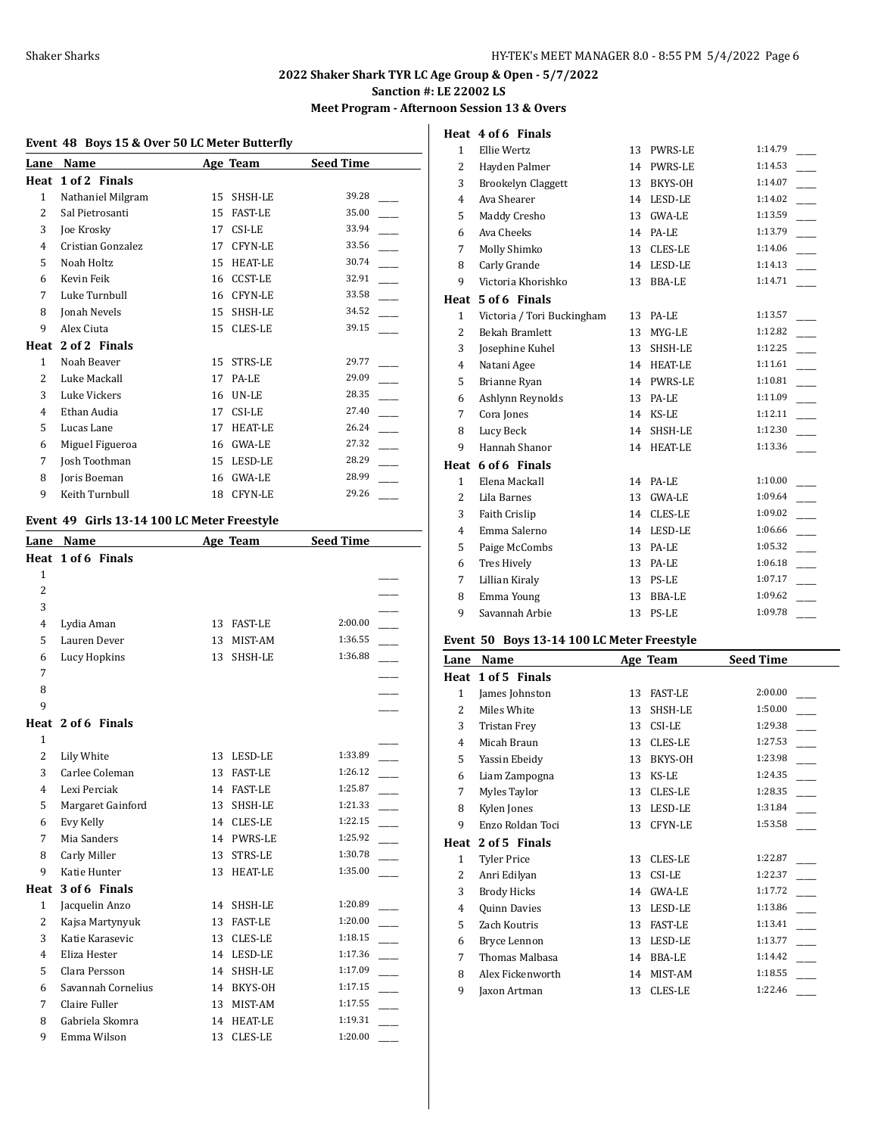# **Meet Program - Afternoon Session 13 & Overs**

**Heat 4 of 6 Finals**

#### **Event 48 Boys 15 & Over 50 LC Meter Butterfly**

| Name              |    |                | <b>Seed Time</b> |
|-------------------|----|----------------|------------------|
| 1 of 2 Finals     |    |                |                  |
| Nathaniel Milgram | 15 | SHSH-LE        | 39.28            |
| Sal Pietrosanti   | 15 | <b>FAST-LE</b> | 35.00            |
| Joe Krosky        | 17 | CSI-LE         | 33.94            |
| Cristian Gonzalez | 17 | <b>CFYN-LE</b> | 33.56            |
| Noah Holtz        | 15 | <b>HEAT-LE</b> | 30.74            |
| Kevin Feik        | 16 | <b>CCST-LE</b> | 32.91            |
| Luke Turnbull     | 16 | <b>CFYN-LE</b> | 33.58            |
| Jonah Nevels      | 15 | SHSH-LE        | 34.52            |
| Alex Ciuta        | 15 | <b>CLES-LE</b> | 39.15            |
| 2 of 2 Finals     |    |                |                  |
| Noah Beaver       | 15 | <b>STRS-LE</b> | 29.77            |
| Luke Mackall      | 17 | PA-LE          | 29.09            |
| Luke Vickers      | 16 | UN-LE          | 28.35            |
| Ethan Audia       | 17 | CSI-LE         | 27.40            |
| Lucas Lane        | 17 | <b>HEAT-LE</b> | 26.24            |
| Miguel Figueroa   | 16 | <b>GWA-LE</b>  | 27.32            |
| Josh Toothman     | 15 | LESD-LE        | 28.29            |
| Joris Boeman      | 16 | GWA-LE         | 28.99            |
| Keith Turnbull    | 18 | <b>CFYN-LE</b> | 29.26            |
|                   |    |                | Age Team         |

# **Event 49 Girls 13-14 100 LC Meter Freestyle**

| Name               |    |                | <b>Seed Time</b> |  |
|--------------------|----|----------------|------------------|--|
| Heat 1 of 6 Finals |    |                |                  |  |
|                    |    |                |                  |  |
|                    |    |                |                  |  |
|                    |    |                |                  |  |
| Lydia Aman         | 13 | <b>FAST-LE</b> | 2:00.00          |  |
| Lauren Dever       | 13 | MIST-AM        | 1:36.55          |  |
| Lucy Hopkins       | 13 | SHSH-LE        | 1:36.88          |  |
|                    |    |                |                  |  |
|                    |    |                |                  |  |
|                    |    |                |                  |  |
| Heat 2 of 6 Finals |    |                |                  |  |
|                    |    |                |                  |  |
| Lily White         | 13 | LESD-LE        | 1:33.89          |  |
| Carlee Coleman     | 13 | <b>FAST-LE</b> | 1:26.12          |  |
| Lexi Perciak       | 14 | <b>FAST-LE</b> | 1:25.87          |  |
| Margaret Gainford  | 13 | SHSH-LE        | 1:21.33          |  |
| Evy Kelly          | 14 | <b>CLES-LE</b> | 1:22.15          |  |
| Mia Sanders        | 14 | <b>PWRS-LE</b> | 1:25.92          |  |
| Carly Miller       | 13 | STRS-LE        | 1:30.78          |  |
| Katie Hunter       | 13 | <b>HEAT-LE</b> | 1:35.00          |  |
| 3 of 6 Finals      |    |                |                  |  |
| Jacquelin Anzo     | 14 | SHSH-LE        | 1:20.89          |  |
| Kajsa Martynyuk    | 13 | <b>FAST-LE</b> | 1:20.00          |  |
| Katie Karasevic    | 13 | <b>CLES-LE</b> | 1:18.15          |  |
| Eliza Hester       | 14 | LESD-LE        | 1:17.36          |  |
| Clara Persson      | 14 | SHSH-LE        | 1:17.09          |  |
| Savannah Cornelius | 14 | BKYS-OH        | 1:17.15          |  |
| Claire Fuller      | 13 | MIST-AM        | 1:17.55          |  |
| Gabriela Skomra    | 14 | <b>HEAT-LE</b> | 1:19.31          |  |
| Emma Wilson        | 13 | <b>CLES-LE</b> | 1:20.00          |  |
|                    |    |                | Age Team         |  |

| $\mathbf{1}$   | Ellie Wertz                | 13 | <b>PWRS-LE</b> | 1:14.79 |
|----------------|----------------------------|----|----------------|---------|
| 2              | Hayden Palmer              |    | 14 PWRS-LE     | 1:14.53 |
| 3              | <b>Brookelyn Claggett</b>  | 13 | BKYS-OH        | 1:14.07 |
| $\overline{4}$ | Ava Shearer                | 14 | LESD-LE        | 1:14.02 |
| 5              | Maddy Cresho               | 13 | <b>GWA-LE</b>  | 1:13.59 |
| 6              | Ava Cheeks                 | 14 | PA-LE          | 1:13.79 |
| 7              | Molly Shimko               | 13 | CLES-LE        | 1:14.06 |
| 8              | Carly Grande               |    | 14 LESD-LE     | 1:14.13 |
| 9              | Victoria Khorishko         | 13 | <b>BBA-LE</b>  | 1:14.71 |
| Heat           | 5 of 6 Finals              |    |                |         |
| $\mathbf{1}$   | Victoria / Tori Buckingham |    | 13 PA-LE       | 1:13.57 |
| 2              | <b>Bekah Bramlett</b>      | 13 | MYG-LE         | 1:12.82 |
| 3              | Josephine Kuhel            | 13 | SHSH-LE        | 1:12.25 |
| $\overline{4}$ | Natani Agee                | 14 | <b>HEAT-LE</b> | 1:11.61 |
| 5              | Brianne Ryan               |    | 14 PWRS-LE     | 1:10.81 |
| 6              | Ashlynn Reynolds           | 13 | PA-LE          | 1:11.09 |
| 7              | Cora Jones                 | 14 | KS-LE          | 1:12.11 |
| 8              | Lucy Beck                  | 14 | SHSH-LE        | 1:12.30 |
| 9              | Hannah Shanor              | 14 | <b>HEAT-LE</b> | 1:13.36 |
| Heat           | 6 of 6 Finals              |    |                |         |
| $\mathbf{1}$   | Elena Mackall              | 14 | PA-LE          | 1:10.00 |
| 2              | Lila Barnes                | 13 | <b>GWA-LE</b>  | 1:09.64 |
| 3              | Faith Crislip              |    | 14 CLES-LE     | 1:09.02 |
| 4              | Emma Salerno               | 14 | LESD-LE        | 1:06.66 |
| 5              | Paige McCombs              | 13 | PA-LE          | 1:05.32 |
| 6              | Tres Hively                | 13 | PA-LE          | 1:06.18 |
| 7              | Lillian Kiraly             | 13 | PS-LE          | 1:07.17 |
| 8              | Emma Young                 | 13 | BBA-LE         | 1:09.62 |
| 9              | Savannah Arbie             | 13 | PS-LE          | 1:09.78 |
|                |                            |    |                |         |

# **Event 50 Boys 13-14 100 LC Meter Freestyle**

| Lane           | Name                |    | Age Team       | <b>Seed Time</b> |
|----------------|---------------------|----|----------------|------------------|
| Heat           | 1 of 5 Finals       |    |                |                  |
| $\mathbf{1}$   | James Johnston      | 13 | <b>FAST-LE</b> | 2:00.00          |
| 2              | Miles White         | 13 | SHSH-LE        | 1:50.00          |
| 3              | <b>Tristan Frey</b> | 13 | CSI-LE         | 1:29.38          |
| $\overline{4}$ | Micah Braun         | 13 | CLES-LE        | 1:27.53          |
| 5              | Yassin Ebeidy       | 13 | BKYS-OH        | 1:23.98          |
| 6              | Liam Zampogna       | 13 | KS-LE          | 1:24.35          |
| 7              | Myles Taylor        | 13 | CLES-LE        | 1:28.35          |
| 8              | Kylen Jones         | 13 | LESD-LE        | 1:31.84          |
| 9              | Enzo Roldan Toci    | 13 | <b>CFYN-LE</b> | 1:53.58          |
| Heat           | 2 of 5 Finals       |    |                |                  |
| 1              | <b>Tyler Price</b>  | 13 | <b>CLES-LE</b> | 1:22.87          |
| 2              | Anri Edilyan        | 13 | CSI-LE         | 1:22.37          |
| 3              | <b>Brody Hicks</b>  | 14 | <b>GWA-LE</b>  | 1:17.72          |
| $\overline{4}$ | Quinn Davies        | 13 | LESD-LE        | 1:13.86          |
| 5              | Zach Koutris        | 13 | <b>FAST-LE</b> | 1:13.41          |
| 6              | Bryce Lennon        | 13 | LESD-LE        | 1:13.77          |
| 7              | Thomas Malbasa      | 14 | BBA-LE         | 1:14.42          |
| 8              | Alex Fickenworth    | 14 | MIST-AM        | 1:18.55          |
| 9              | Jaxon Artman        | 13 | <b>CLES-LE</b> | 1:22.46          |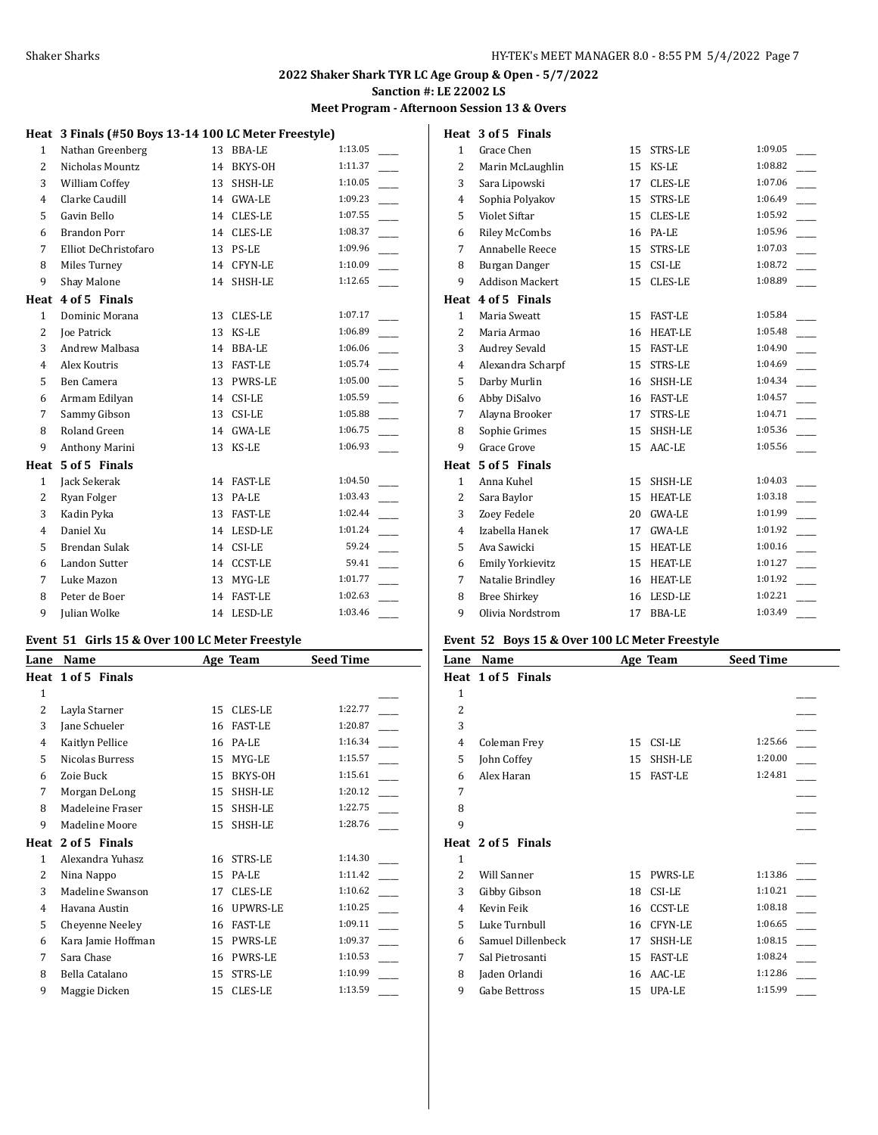#### **Meet Program - Afternoon Session 13 & Overs**

# **Heat 3 Finals (#50 Boys 13-14 100 LC Meter Freestyle)**

| 1              | Nathan Greenberg      | 13 | <b>BBA-LE</b>  | 1:13.05 |
|----------------|-----------------------|----|----------------|---------|
| $\overline{2}$ | Nicholas Mountz       | 14 | BKYS-OH        | 1:11.37 |
| 3              | William Coffey        | 13 | SHSH-LE        | 1:10.05 |
| 4              | Clarke Caudill        | 14 | GWA-LE         | 1:09.23 |
| 5              | Gavin Bello           | 14 | CLES-LE        | 1:07.55 |
| 6              | <b>Brandon Porr</b>   | 14 | CLES-LE        | 1:08.37 |
| 7              | Elliot DeChristofaro  | 13 | PS-LE          | 1:09.96 |
| 8              | Miles Turney          | 14 | CFYN-LE        | 1:10.09 |
| 9              | Shay Malone           | 14 | SHSH-LE        | 1:12.65 |
| Heat           | 4 of 5 Finals         |    |                |         |
| $\mathbf{1}$   | Dominic Morana        | 13 | CLES-LE        | 1:07.17 |
| $\overline{2}$ | Joe Patrick           | 13 | KS-LE          | 1:06.89 |
| 3              | <b>Andrew Malbasa</b> | 14 | <b>BBA-LE</b>  | 1:06.06 |
| $\overline{4}$ | Alex Koutris          | 13 | <b>FAST-LE</b> | 1:05.74 |
| 5              | Ben Camera            | 13 | PWRS-LE        | 1:05.00 |
| 6              | Armam Edilyan         | 14 | CSI-LE         | 1:05.59 |
| 7              | Sammy Gibson          | 13 | CSI-LE         | 1:05.88 |
| 8              | Roland Green          | 14 | GWA-LE         | 1:06.75 |
| 9              | Anthony Marini        | 13 | KS-LE          | 1:06.93 |
| Heat           | 5 of 5 Finals         |    |                |         |
| $\mathbf{1}$   | Jack Sekerak          | 14 | <b>FAST-LE</b> | 1:04.50 |
| $\overline{2}$ | Ryan Folger           | 13 | PA-LE          | 1:03.43 |
| 3              | Kadin Pyka            | 13 | <b>FAST-LE</b> | 1:02.44 |
| $\overline{4}$ | Daniel Xu             |    | 14 LESD-LE     | 1:01.24 |
| 5              | Brendan Sulak         | 14 | CSI-LE         | 59.24   |
| 6              | <b>Landon Sutter</b>  | 14 | <b>CCST-LE</b> | 59.41   |
| 7              | Luke Mazon            | 13 | MYG-LE         | 1:01.77 |
| 8              | Peter de Boer         | 14 | <b>FAST-LE</b> | 1:02.63 |
| 9              | Julian Wolke          | 14 | LESD-LE        | 1:03.46 |

#### **Event 51 Girls 15 & Over 100 LC Meter Freestyle**

| Lane | Name               |    | Age Team       | <b>Seed Time</b> |  |
|------|--------------------|----|----------------|------------------|--|
|      | Heat 1 of 5 Finals |    |                |                  |  |
| 1    |                    |    |                |                  |  |
| 2    | Layla Starner      | 15 | <b>CLES-LE</b> | 1:22.77          |  |
| 3    | Jane Schueler      | 16 | <b>FAST-LE</b> | 1:20.87          |  |
| 4    | Kaitlyn Pellice    | 16 | PA-LE          | 1:16.34          |  |
| 5    | Nicolas Burress    | 15 | MYG-LE         | 1:15.57          |  |
| 6    | Zoie Buck          | 15 | BKYS-OH        | 1:15.61          |  |
| 7    | Morgan DeLong      | 15 | SHSH-LE        | 1:20.12          |  |
| 8    | Madeleine Fraser   | 15 | SHSH-LE        | 1:22.75          |  |
| 9    | Madeline Moore     | 15 | SHSH-LE        | 1:28.76          |  |
| Heat | 2 of 5 Finals      |    |                |                  |  |
| 1    | Alexandra Yuhasz   | 16 | STRS-LE        | 1:14.30          |  |
| 2    | Nina Nappo         | 15 | PA-LE          | 1:11.42          |  |
| 3    | Madeline Swanson   | 17 | <b>CLES-LE</b> | 1:10.62          |  |
| 4    | Havana Austin      | 16 | UPWRS-LE       | 1:10.25          |  |
| 5    | Cheyenne Neeley    | 16 | <b>FAST-LE</b> | 1:09.11          |  |
| 6    | Kara Jamie Hoffman | 15 | <b>PWRS-LE</b> | 1:09.37          |  |
| 7    | Sara Chase         | 16 | <b>PWRS-LE</b> | 1:10.53          |  |
| 8    | Bella Catalano     | 15 | STRS-LE        | 1:10.99          |  |
| 9    | Maggie Dicken      | 15 | <b>CLES-LE</b> | 1:13.59          |  |

|                | Heat 3 of 5 Finals     |    |                |         |
|----------------|------------------------|----|----------------|---------|
| $\mathbf{1}$   | Grace Chen             | 15 | STRS-LE        | 1:09.05 |
| $\overline{2}$ | Marin McLaughlin       | 15 | KS-LE          | 1:08.82 |
| 3              | Sara Lipowski          | 17 | CLES-LE        | 1:07.06 |
| $\overline{4}$ | Sophia Polyakov        | 15 | STRS-LE        | 1:06.49 |
| 5              | Violet Siftar          | 15 | CLES-LE        | 1:05.92 |
| 6              | <b>Riley McCombs</b>   | 16 | PA-LE          | 1:05.96 |
| 7              | Annabelle Reece        | 15 | STRS-LE        | 1:07.03 |
| 8              | Burgan Danger          | 15 | CSI-LE         | 1:08.72 |
| 9              | <b>Addison Mackert</b> | 15 | CLES-LE        | 1:08.89 |
| Heat           | 4 of 5 Finals          |    |                |         |
| $\mathbf{1}$   | Maria Sweatt           | 15 | <b>FAST-LE</b> | 1:05.84 |
| $\overline{2}$ | Maria Armao            | 16 | <b>HEAT-LE</b> | 1:05.48 |
| 3              | <b>Audrey Sevald</b>   | 15 | <b>FAST-LE</b> | 1:04.90 |
| $\overline{4}$ | Alexandra Scharpf      | 15 | STRS-LE        | 1:04.69 |
| 5              | Darby Murlin           | 16 | SHSH-LE        | 1:04.34 |
| 6              | Abby DiSalvo           | 16 | <b>FAST-LE</b> | 1:04.57 |
| 7              | Alayna Brooker         | 17 | STRS-LE        | 1:04.71 |
| 8              | Sophie Grimes          | 15 | SHSH-LE        | 1:05.36 |
| 9              | Grace Grove            | 15 | AAC-LE         | 1:05.56 |
|                | Heat 5 of 5 Finals     |    |                |         |
| $\mathbf{1}$   | Anna Kuhel             | 15 | SHSH-LE        | 1:04.03 |
| $\overline{2}$ | Sara Baylor            | 15 | <b>HEAT-LE</b> | 1:03.18 |
| 3              | Zoev Fedele            | 20 | <b>GWA-LE</b>  | 1:01.99 |
| $\overline{4}$ | Izabella Hanek         | 17 | <b>GWA-LE</b>  | 1:01.92 |
| 5              | Ava Sawicki            | 15 | <b>HEAT-LE</b> | 1:00.16 |
| 6              | Emily Yorkievitz       | 15 | <b>HEAT-LE</b> | 1:01.27 |
| 7              | Natalie Brindley       | 16 | <b>HEAT-LE</b> | 1:01.92 |
| 8              | <b>Bree Shirkey</b>    | 16 | LESD-LE        | 1:02.21 |
| 9              | Olivia Nordstrom       | 17 | <b>BBA-LE</b>  | 1:03.49 |

### **Event 52 Boys 15 & Over 100 LC Meter Freestyle**

| Lane           | Name               |    | Age Team       | <b>Seed Time</b> |  |
|----------------|--------------------|----|----------------|------------------|--|
|                | Heat 1 of 5 Finals |    |                |                  |  |
| 1              |                    |    |                |                  |  |
| $\overline{c}$ |                    |    |                |                  |  |
| 3              |                    |    |                |                  |  |
| 4              | Coleman Frey       | 15 | CSI-LE         | 1:25.66          |  |
| 5              | John Coffey        | 15 | SHSH-LE        | 1:20.00          |  |
| 6              | Alex Haran         | 15 | <b>FAST-LE</b> | 1:24.81          |  |
| 7              |                    |    |                |                  |  |
| 8              |                    |    |                |                  |  |
| 9              |                    |    |                |                  |  |
|                | Heat 2 of 5 Finals |    |                |                  |  |
| $\mathbf{1}$   |                    |    |                |                  |  |
| 2              | <b>Will Sanner</b> | 15 | PWRS-LE        | 1:13.86          |  |
| 3              | Gibby Gibson       | 18 | CSI-LE         | 1:10.21          |  |
| $\overline{4}$ | Kevin Feik         | 16 | <b>CCST-LE</b> | 1:08.18          |  |
| 5              | Luke Turnbull      | 16 | <b>CFYN-LE</b> | 1:06.65          |  |
| 6              | Samuel Dillenbeck  | 17 | SHSH-LE        | 1:08.15          |  |
| 7              | Sal Pietrosanti    | 15 | <b>FAST-LE</b> | 1:08.24          |  |
| 8              | Jaden Orlandi      | 16 | AAC-LE         | 1:12.86          |  |
| 9              | Gabe Bettross      | 15 | UPA-LE         | 1:15.99          |  |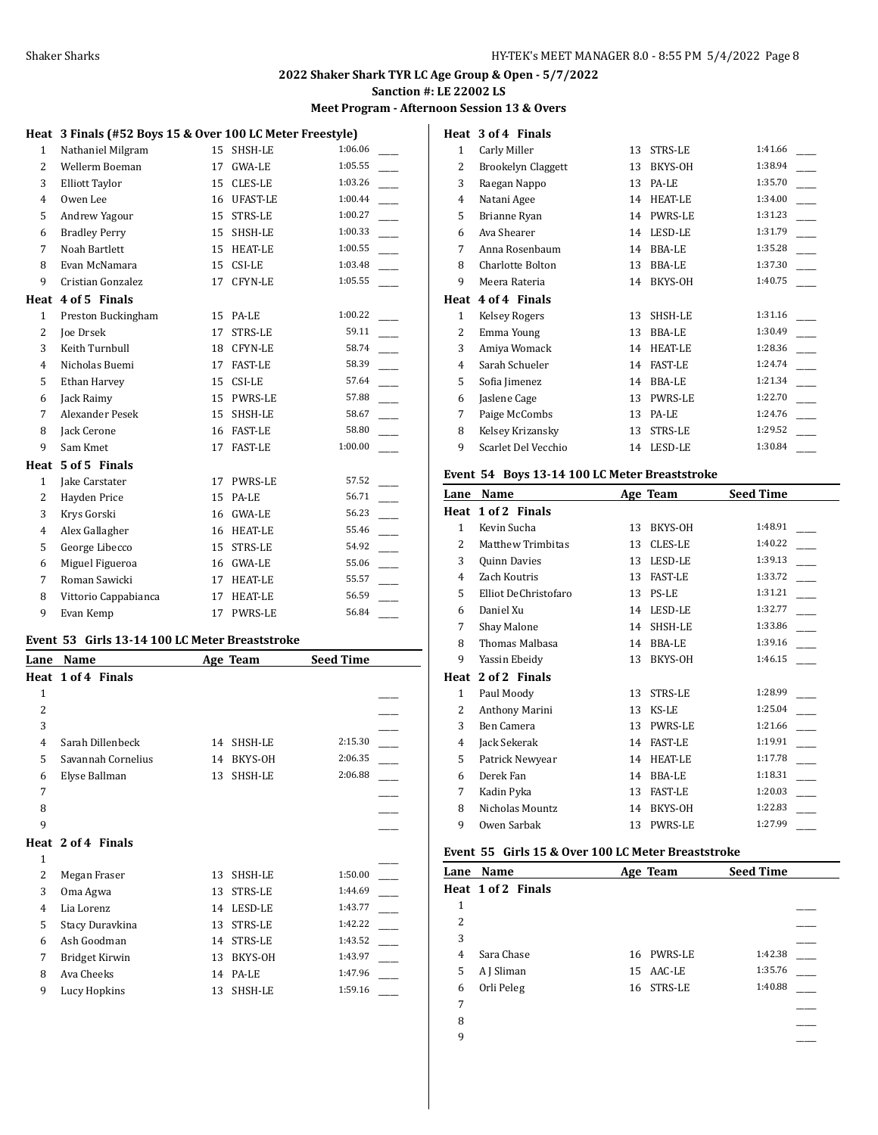#### **Meet Program - Afternoon Session 13 & Overs**

# **Heat 3 Finals (#52 Boys 15 & Over 100 LC Meter Freestyle)**

| 1              | Nathaniel Milgram      | 15 | SHSH-LE         | 1:06.06 |
|----------------|------------------------|----|-----------------|---------|
| $\overline{2}$ | Wellerm Boeman         | 17 | GWA-LE          | 1:05.55 |
| 3              | Elliott Taylor         | 15 | CLES-LE         | 1:03.26 |
| $\overline{4}$ | Owen Lee               | 16 | <b>UFAST-LE</b> | 1:00.44 |
| 5              | Andrew Yagour          |    | 15 STRS-LE      | 1:00.27 |
| 6              | <b>Bradley Perry</b>   | 15 | SHSH-LE         | 1:00.33 |
| 7              | Noah Bartlett          |    | 15 HEAT-LE      | 1:00.55 |
| 8              | Evan McNamara          |    | 15 CSI-LE       | 1:03.48 |
| 9              | Cristian Gonzalez      | 17 | CFYN-LE         | 1:05.55 |
|                | Heat 4 of 5 Finals     |    |                 |         |
| $\mathbf{1}$   | Preston Buckingham     | 15 | PA-LE           | 1:00.22 |
| $\overline{2}$ | <b>Joe Drsek</b>       | 17 | STRS-LE         | 59.11   |
| 3              | Keith Turnbull         | 18 | CFYN-LE         | 58.74   |
| $\overline{4}$ | Nicholas Buemi         | 17 | <b>FAST-LE</b>  | 58.39   |
| 5              | Ethan Harvey           | 15 | CSI-LE          | 57.64   |
| 6              | Jack Raimy             | 15 | <b>PWRS-LE</b>  | 57.88   |
| 7              | <b>Alexander Pesek</b> |    | 15 SHSH-LE      | 58.67   |
| 8              | Jack Cerone            |    | 16 FAST-LE      | 58.80   |
| 9              | Sam Kmet               | 17 | <b>FAST-LE</b>  | 1:00.00 |
| Heat           | 5 of 5 Finals          |    |                 |         |
| $\mathbf{1}$   | Jake Carstater         | 17 | PWRS-LE         | 57.52   |
| $\overline{2}$ | Hayden Price           | 15 | PA-LE           | 56.71   |
| 3              | Krys Gorski            | 16 | GWA-LE          | 56.23   |
| 4              | Alex Gallagher         |    | 16 HEAT-LE      | 55.46   |
| 5              | George Libecco         | 15 | STRS-LE         | 54.92   |
| 6              | Miguel Figueroa        | 16 | <b>GWA-LE</b>   | 55.06   |
| 7              | Roman Sawicki          | 17 | <b>HEAT-LE</b>  | 55.57   |
| 8              | Vittorio Cappabianca   | 17 | <b>HEAT-LE</b>  | 56.59   |
| 9              | Evan Kemp              | 17 | <b>PWRS-LE</b>  | 56.84   |

### **Event 53 Girls 13-14 100 LC Meter Breaststroke**

| Lane         | Name               | Age Team             | <b>Seed Time</b> |
|--------------|--------------------|----------------------|------------------|
|              | Heat 1 of 4 Finals |                      |                  |
| $\mathbf{1}$ |                    |                      |                  |
| 2            |                    |                      |                  |
| 3            |                    |                      |                  |
| 4            | Sarah Dillenbeck   | SHSH-LE<br>14        | 2:15.30          |
| 5            | Savannah Cornelius | BKYS-OH<br>14        | 2:06.35          |
| 6            | Elyse Ballman      | SHSH-LE<br>13        | 2:06.88          |
| 7            |                    |                      |                  |
| 8            |                    |                      |                  |
| 9            |                    |                      |                  |
|              | Heat 2 of 4 Finals |                      |                  |
| 1            |                    |                      |                  |
| 2            | Megan Fraser       | SHSH-LE<br>13        | 1:50.00          |
| 3            | Oma Agwa           | <b>STRS-LE</b><br>13 | 1:44.69          |
| 4            | Lia Lorenz         | LESD-LE<br>14        | 1:43.77          |
| 5            | Stacy Duravkina    | <b>STRS-LE</b><br>13 | 1:42.22          |
| 6            | Ash Goodman        | <b>STRS-LE</b><br>14 | 1:43.52          |
| 7            | Bridget Kirwin     | BKYS-OH<br>13        | 1:43.97          |
| 8            | Ava Cheeks         | PA-LE<br>14          | 1:47.96          |
| 9            | Lucy Hopkins       | SHSH-LE<br>13        | 1:59.16          |
|              |                    |                      |                  |

| Heat           | 3 of 4 Finals             |    |                |         |
|----------------|---------------------------|----|----------------|---------|
| $\mathbf{1}$   | Carly Miller              | 13 | STRS-LE        | 1:41.66 |
| 2              | <b>Brookelyn Claggett</b> | 13 | BKYS-OH        | 1:38.94 |
| 3              | Raegan Nappo              | 13 | PA-LE          | 1:35.70 |
| 4              | Natani Agee               | 14 | <b>HEAT-LE</b> | 1:34.00 |
| 5              | Brianne Ryan              | 14 | <b>PWRS-LE</b> | 1:31.23 |
| 6              | Ava Shearer               | 14 | LESD-LE        | 1:31.79 |
| 7              | Anna Rosenbaum            | 14 | <b>BBA-LE</b>  | 1:35.28 |
| 8              | Charlotte Bolton          | 13 | <b>BBA-LE</b>  | 1:37.30 |
| 9              | Meera Rateria             | 14 | BKYS-OH        | 1:40.75 |
|                |                           |    |                |         |
| Heat           | 4 of 4 Finals             |    |                |         |
| 1              | Kelsey Rogers             | 13 | SHSH-LE        | 1:31.16 |
| 2              | Emma Young                | 13 | <b>BBA-LE</b>  | 1:30.49 |
| 3              | Amiya Womack              | 14 | <b>HEAT-LE</b> | 1:28.36 |
| $\overline{4}$ | Sarah Schueler            | 14 | <b>FAST-LE</b> | 1:24.74 |
| 5              | Sofia Jimenez             | 14 | <b>BBA-LE</b>  | 1:21.34 |
| 6              | Jaslene Cage              | 13 | <b>PWRS-LE</b> | 1:22.70 |
| 7              | Paige McCombs             | 13 | PA-LE          | 1:24.76 |
| 8              | Kelsey Krizansky          | 13 | STRS-LE        | 1:29.52 |

#### **Event 54 Boys 13-14 100 LC Meter Breaststroke**

| Lane          | Name                 |    | Age Team       | <b>Seed Time</b> |  |
|---------------|----------------------|----|----------------|------------------|--|
| Heat          | 1 of 2 Finals        |    |                |                  |  |
| 1             | Kevin Sucha          | 13 | BKYS-OH        | 1:48.91          |  |
| $\mathcal{L}$ | Matthew Trimbitas    | 13 | <b>CLES-LE</b> | 1:40.22          |  |
| 3             | Quinn Davies         | 13 | LESD-LE        | 1:39.13          |  |
| 4             | Zach Koutris         | 13 | <b>FAST-LE</b> | 1:33.72          |  |
| 5             | Elliot DeChristofaro | 13 | PS-LE          | 1:31.21          |  |
| 6             | Daniel Xu            | 14 | LESD-LE        | 1:32.77          |  |
| 7             | Shay Malone          | 14 | SHSH-LE        | 1:33.86          |  |
| 8             | Thomas Malbasa       | 14 | BBA-LE         | 1:39.16          |  |
| 9             | Yassin Ebeidy        | 13 | BKYS-OH        | 1:46.15          |  |
| Heat          | 2 of 2 Finals        |    |                |                  |  |
| $\mathbf{1}$  | Paul Moody           | 13 | STRS-LE        | 1:28.99          |  |
| 2             | Anthony Marini       | 13 | KS-LE          | 1:25.04          |  |
| 3             | Ben Camera           | 13 | <b>PWRS-LE</b> | 1:21.66          |  |
| 4             | Jack Sekerak         | 14 | <b>FAST-LE</b> | 1:19.91          |  |
| 5             | Patrick Newyear      | 14 | <b>HEAT-LE</b> | 1:17.78          |  |
| 6             | Derek Fan            | 14 | BBA-LE         | 1:18.31          |  |
| 7             | Kadin Pyka           | 13 | <b>FAST-LE</b> | 1:20.03          |  |
| 8             | Nicholas Mountz      | 14 | BKYS-OH        | 1:22.83          |  |
| 9             | Owen Sarbak          | 13 | <b>PWRS-LE</b> | 1:27.99          |  |

#### **Event 55 Girls 15 & Over 100 LC Meter Breaststroke**

|   | Lane Name          | Age Team   | <b>Seed Time</b> |  |
|---|--------------------|------------|------------------|--|
|   | Heat 1 of 2 Finals |            |                  |  |
| 1 |                    |            |                  |  |
| 2 |                    |            |                  |  |
| 3 |                    |            |                  |  |
| 4 | Sara Chase         | 16 PWRS-LE | 1:42.38          |  |
| 5 | A J Sliman         | 15 AAC-LE  | 1:35.76          |  |
| 6 | Orli Peleg         | 16 STRS-LE | 1:40.88          |  |
| 7 |                    |            |                  |  |
| 8 |                    |            |                  |  |
| 9 |                    |            |                  |  |
|   |                    |            |                  |  |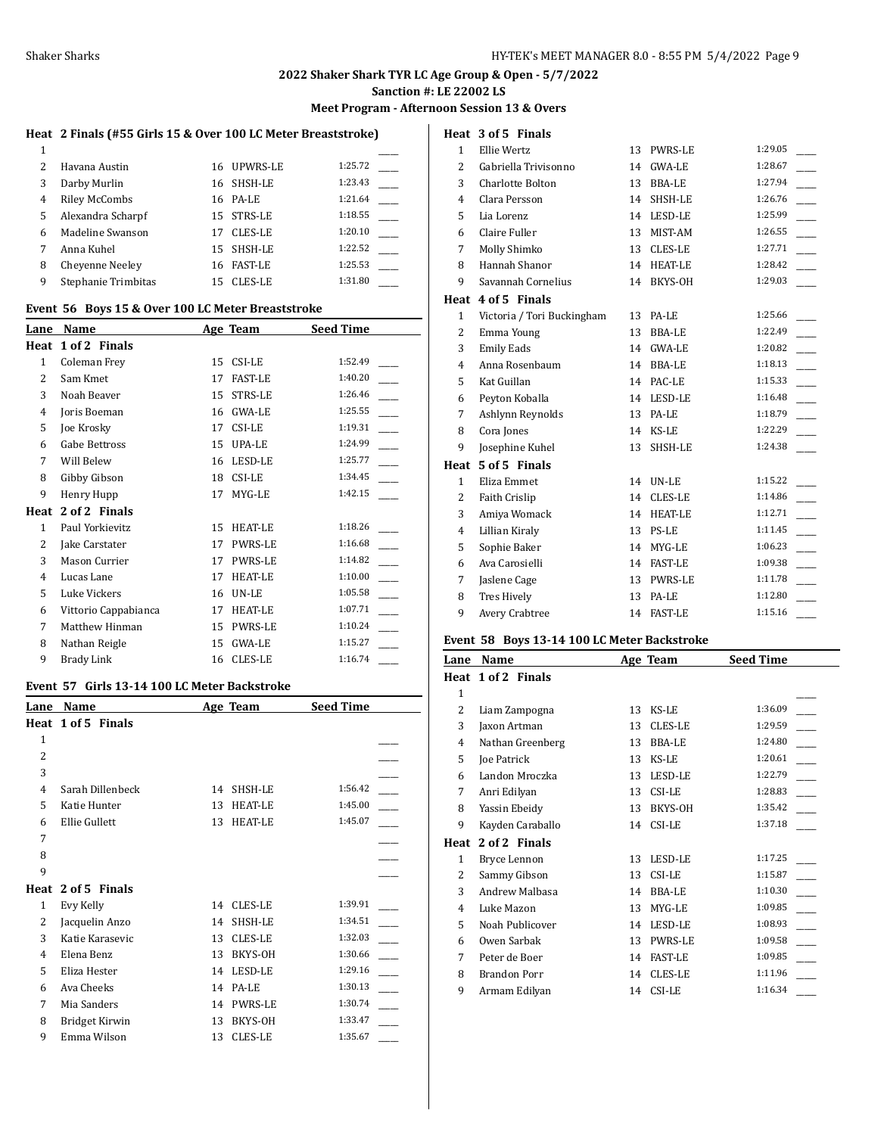# **2022 Shaker Shark TYR LC Age Group & Open - 5/7/2022**

**Sanction #: LE 22002 LS**

#### **Meet Program - Afternoon Session 13 & Overs**

**Heat 3 of 5 Finals**

## **Heat 2 Finals (#55 Girls 15 & Over 100 LC Meter Breaststroke)**

| 2 | Havana Austin          |    | 16 UPWRS-LE    | 1:25.72 |  |
|---|------------------------|----|----------------|---------|--|
| 3 | Darby Murlin           | 16 | SHSH-LE        | 1:23.43 |  |
| 4 | <b>Riley McCombs</b>   | 16 | PA-LE          | 1:21.64 |  |
| 5 | Alexandra Scharpf      | 15 | STRS-LE        | 1:18.55 |  |
| 6 | Madeline Swanson       | 17 | <b>CLES-LE</b> | 1:20.10 |  |
|   | Anna Kuhel             | 15 | SHSH-LE        | 1:22.52 |  |
| 8 | <b>Chevenne Neelev</b> | 16 | <b>FAST-LE</b> | 1:25.53 |  |
| 9 | Stephanie Trimbitas    | 15 | <b>CLES-LE</b> | 1:31.80 |  |

## **Event 56 Boys 15 & Over 100 LC Meter Breaststroke**

| Lane           | Name                 | Age Team |                | <b>Seed Time</b> |
|----------------|----------------------|----------|----------------|------------------|
| Heat           | 1 of 2 Finals        |          |                |                  |
| 1              | Coleman Frey         | 15       | CSI-LE         | 1:52.49          |
| 2              | Sam Kmet             | 17       | <b>FAST-LE</b> | 1:40.20          |
| 3              | Noah Beaver          | 15       | <b>STRS-LE</b> | 1:26.46          |
| $\overline{4}$ | Joris Boeman         | 16       | <b>GWA-LE</b>  | 1:25.55          |
| 5              | Joe Krosky           | 17       | CSI-LE         | 1:19.31          |
| 6              | Gabe Bettross        | 15       | UPA-LE         | 1:24.99          |
| 7              | Will Belew           | 16       | LESD-LE        | 1:25.77          |
| 8              | Gibby Gibson         | 18       | CSI-LE         | 1:34.45          |
| 9              | Henry Hupp           | 17       | MYG-LE         | 1:42.15          |
| Heat           | 2 of 2 Finals        |          |                |                  |
| $\mathbf{1}$   | Paul Yorkievitz      | 15       | <b>HEAT-LE</b> | 1:18.26          |
| 2              | Jake Carstater       | 17       | PWRS-LE        | 1:16.68          |
| 3              | Mason Currier        | 17       | <b>PWRS-LE</b> | 1:14.82          |
| 4              | Lucas Lane           | 17       | <b>HEAT-LE</b> | 1:10.00          |
| 5              | Luke Vickers         | 16       | UN-LE          | 1:05.58          |
| 6              | Vittorio Cappabianca | 17       | <b>HEAT-LE</b> | 1:07.71          |
| 7              | Matthew Hinman       | 15       | <b>PWRS-LE</b> | 1:10.24          |
| 8              | Nathan Reigle        | 15       | <b>GWA-LE</b>  | 1:15.27          |
| 9              | Brady Link           | 16       | <b>CLES-LE</b> | 1:16.74          |

# **Event 57 Girls 13-14 100 LC Meter Backstroke**

| Lane           | Name               |    | Age Team       | <b>Seed Time</b> |  |
|----------------|--------------------|----|----------------|------------------|--|
|                | Heat 1 of 5 Finals |    |                |                  |  |
| 1              |                    |    |                |                  |  |
| 2              |                    |    |                |                  |  |
| 3              |                    |    |                |                  |  |
| $\overline{4}$ | Sarah Dillenbeck   | 14 | SHSH-LE        | 1:56.42          |  |
| 5              | Katie Hunter       | 13 | <b>HEAT-LE</b> | 1:45.00          |  |
| 6              | Ellie Gullett      | 13 | <b>HEAT-LE</b> | 1:45.07          |  |
| 7              |                    |    |                |                  |  |
| 8              |                    |    |                |                  |  |
| 9              |                    |    |                |                  |  |
|                | Heat 2 of 5 Finals |    |                |                  |  |
| 1              | Evy Kelly          | 14 | <b>CLES-LE</b> | 1:39.91          |  |
| 2              | Jacquelin Anzo     | 14 | SHSH-LE        | 1:34.51          |  |
| 3              | Katie Karasevic    | 13 | <b>CLES-LE</b> | 1:32.03          |  |
| 4              | Elena Benz         | 13 | BKYS-OH        | 1:30.66          |  |
| 5              | Eliza Hester       | 14 | LESD-LE        | 1:29.16          |  |
| 6              | Ava Cheeks         | 14 | PA-LE          | 1:30.13          |  |
| 7              | Mia Sanders        | 14 | PWRS-LE        | 1:30.74          |  |
| 8              | Bridget Kirwin     | 13 | BKYS-OH        | 1:33.47          |  |
| 9              | Emma Wilson        | 13 | <b>CLES-LE</b> | 1:35.67          |  |

| $\mathbf{1}$   | Ellie Wertz                | 13 | <b>PWRS-LE</b> | 1:29.05 |
|----------------|----------------------------|----|----------------|---------|
| $\overline{2}$ | Gabriella Trivisonno       | 14 | GWA-LE         | 1:28.67 |
| 3              | Charlotte Bolton           | 13 | <b>BBA-LE</b>  | 1:27.94 |
| 4              | Clara Persson              | 14 | SHSH-LE        | 1:26.76 |
| 5              | Lia Lorenz                 |    | 14 LESD-LE     | 1:25.99 |
| 6              | Claire Fuller              | 13 | MIST-AM        | 1:26.55 |
| 7              | Molly Shimko               | 13 | CLES-LE        | 1:27.71 |
| 8              | Hannah Shanor              | 14 | <b>HEAT-LE</b> | 1:28.42 |
| 9              | Savannah Cornelius         | 14 | BKYS-OH        | 1:29.03 |
| Heat           | 4 of 5 Finals              |    |                |         |
| $\mathbf{1}$   | Victoria / Tori Buckingham | 13 | PA-LE          | 1:25.66 |
| $\overline{2}$ | Emma Young                 | 13 | <b>BBA-LE</b>  | 1:22.49 |
| 3              | <b>Emily Eads</b>          | 14 | <b>GWA-LE</b>  | 1:20.82 |
| 4              | Anna Rosenbaum             |    | 14 BBA-LE      | 1:18.13 |
| 5              | Kat Guillan                | 14 | PAC-LE         | 1:15.33 |
| 6              | Peyton Koballa             | 14 | LESD-LE        | 1:16.48 |
| 7              | Ashlynn Reynolds           | 13 | PA-LE          | 1:18.79 |
| 8              | Cora Jones                 | 14 | KS-LE          | 1:22.29 |
| 9              | Josephine Kuhel            | 13 | SHSH-LE        | 1:24.38 |
| Heat           | 5 of 5 Finals              |    |                |         |
| $\mathbf{1}$   | Eliza Emmet                |    | 14 UN-LE       | 1:15.22 |
| $\overline{2}$ | Faith Crislip              | 14 | CLES-LE        | 1:14.86 |
| 3              | Amiya Womack               | 14 | <b>HEAT-LE</b> | 1:12.71 |
| 4              | Lillian Kiraly             | 13 | <b>PS-LE</b>   | 1:11.45 |
| 5              | Sophie Baker               | 14 | MYG-LE         | 1:06.23 |
| 6              | Ava Carosielli             | 14 | <b>FAST-LE</b> | 1:09.38 |
| 7              | Jaslene Cage               | 13 | <b>PWRS-LE</b> | 1:11.78 |
| 8              | <b>Tres Hively</b>         | 13 | PA-LE          | 1:12.80 |
| 9              | Avery Crabtree             | 14 | <b>FAST-LE</b> | 1:15.16 |

#### **Event 58 Boys 13-14 100 LC Meter Backstroke**

| Lane           | Name                |    | Age Team       | <b>Seed Time</b> |  |
|----------------|---------------------|----|----------------|------------------|--|
|                | Heat 1 of 2 Finals  |    |                |                  |  |
| 1              |                     |    |                |                  |  |
| $\overline{2}$ | Liam Zampogna       | 13 | KS-LE          | 1:36.09          |  |
| 3              | Jaxon Artman        | 13 | CLES-LE        | 1:29.59          |  |
| 4              | Nathan Greenberg    | 13 | <b>BBA-LE</b>  | 1:24.80          |  |
| 5              | Joe Patrick         | 13 | KS-LE          | 1:20.61          |  |
| 6              | Landon Mroczka      | 13 | LESD-LE        | 1:22.79          |  |
| 7              | Anri Edilyan        | 13 | CSI-LE         | 1:28.83          |  |
| 8              | Yassin Ebeidy       | 13 | BKYS-OH        | 1:35.42          |  |
| 9              | Kayden Caraballo    | 14 | CSI-LE         | 1:37.18          |  |
| Heat           | 2 of 2 Finals       |    |                |                  |  |
| $\mathbf{1}$   | Bryce Lennon        | 13 | LESD-LE        | 1:17.25          |  |
| 2              | Sammy Gibson        | 13 | CSI-LE         | 1:15.87          |  |
| 3              | Andrew Malbasa      | 14 | BBA-LE         | 1:10.30          |  |
| 4              | Luke Mazon          | 13 | MYG-LE         | 1:09.85          |  |
| 5              | Noah Publicover     | 14 | LESD-LE        | 1:08.93          |  |
| 6              | Owen Sarbak         | 13 | <b>PWRS-LE</b> | 1:09.58          |  |
| 7              | Peter de Boer       | 14 | <b>FAST-LE</b> | 1:09.85          |  |
| 8              | <b>Brandon Porr</b> | 14 | CLES-LE        | 1:11.96          |  |
| 9              | Armam Edilyan       |    | 14 CSI-LE      | 1:16.34          |  |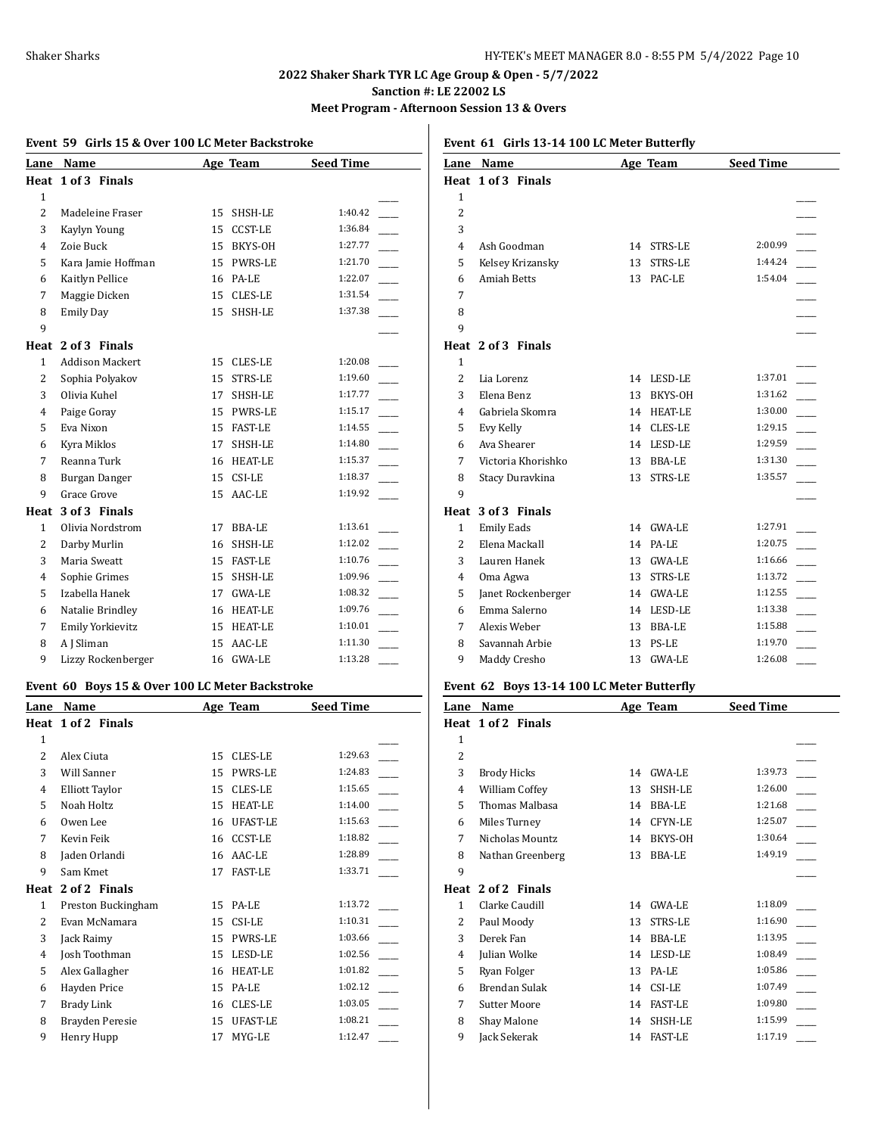**Meet Program - Afternoon Session 13 & Overs**

| Lane           | Name                   |    | Age Team       | <b>Seed Time</b> |
|----------------|------------------------|----|----------------|------------------|
| Heat           | 1 of 3 Finals          |    |                |                  |
| 1              |                        |    |                |                  |
| $\overline{2}$ | Madeleine Fraser       | 15 | SHSH-LE        | 1:40.42          |
| 3              | Kaylyn Young           | 15 | <b>CCST-LE</b> | 1:36.84          |
| 4              | Zoie Buck              | 15 | BKYS-OH        | 1:27.77          |
| 5              | Kara Jamie Hoffman     | 15 | PWRS-LE        | 1:21.70          |
| 6              | Kaitlyn Pellice        | 16 | PA-LE          | 1:22.07          |
| 7              | Maggie Dicken          | 15 | CLES-LE        | 1:31.54          |
| 8              | <b>Emily Day</b>       | 15 | SHSH-LE        | 1:37.38          |
| 9              |                        |    |                |                  |
| Heat           | 2 of 3 Finals          |    |                |                  |
| 1              | <b>Addison Mackert</b> | 15 | CLES-LE        | 1:20.08          |
| $\overline{2}$ | Sophia Polyakov        | 15 | STRS-LE        | 1:19.60          |
| 3              | Olivia Kuhel           | 17 | SHSH-LE        | 1:17.77          |
| 4              | Paige Goray            |    | 15 PWRS-LE     | 1:15.17          |
| 5              | Eva Nixon              | 15 | <b>FAST-LE</b> | 1:14.55          |
| 6              | Kyra Miklos            | 17 | SHSH-LE        | 1:14.80          |
| 7              | Reanna Turk            | 16 | <b>HEAT-LE</b> | 1:15.37          |
| 8              | Burgan Danger          | 15 | CSI-LE         | 1:18.37          |
| 9              | Grace Grove            | 15 | AAC-LE         | 1:19.92          |
| Heat           | 3 of 3 Finals          |    |                |                  |
| $\mathbf{1}$   | Olivia Nordstrom       | 17 | <b>BBA-LE</b>  | 1:13.61          |
| $\overline{2}$ | Darby Murlin           | 16 | SHSH-LE        | 1:12.02          |
| 3              | Maria Sweatt           | 15 | <b>FAST-LE</b> | 1:10.76          |
| 4              | Sophie Grimes          | 15 | SHSH-LE        | 1:09.96          |
| 5              | Izabella Hanek         | 17 | <b>GWA-LE</b>  | 1:08.32          |
| 6              | Natalie Brindley       | 16 | <b>HEAT-LE</b> | 1:09.76          |
| 7              | Emily Yorkievitz       | 15 | HEAT-LE        | 1:10.01          |
| 8              | A J Sliman             | 15 | AAC-LE         | 1:11.30          |
| 9              | Lizzy Rockenberger     | 16 | <b>GWA-LE</b>  | 1:13.28          |

| Lane           | Name                  |    | Age Team        | <b>Seed Time</b> |
|----------------|-----------------------|----|-----------------|------------------|
|                | Heat 1 of 2 Finals    |    |                 |                  |
| $\mathbf{1}$   |                       |    |                 |                  |
| $\overline{2}$ | Alex Ciuta            | 15 | <b>CLES-LE</b>  | 1:29.63          |
| 3              | <b>Will Sanner</b>    | 15 | PWRS-LE         | 1:24.83          |
| 4              | <b>Elliott Taylor</b> | 15 | <b>CLES-LE</b>  | 1:15.65          |
| 5              | Noah Holtz            | 15 | <b>HEAT-LE</b>  | 1:14.00          |
| 6              | Owen Lee              | 16 | UFAST-LE        | 1:15.63          |
| 7              | Kevin Feik            | 16 | <b>CCST-LE</b>  | 1:18.82          |
| 8              | Jaden Orlandi         | 16 | $AAC-LE$        | 1:28.89          |
| 9              | Sam Kmet              | 17 | <b>FAST-LE</b>  | 1:33.71          |
| Heat           | 2 of 2 Finals         |    |                 |                  |
| 1              | Preston Buckingham    | 15 | PA-LE           | 1:13.72          |
| 2              | Evan McNamara         | 15 | CSI-LE          | 1:10.31          |
| 3              | Jack Raimy            | 15 | <b>PWRS-LE</b>  | 1:03.66          |
| 4              | Josh Toothman         | 15 | LESD-LE         | 1:02.56          |
| 5              | Alex Gallagher        | 16 | <b>HEAT-LE</b>  | 1:01.82          |
| 6              | Hayden Price          | 15 | PA-LE           | 1:02.12          |
| 7              | <b>Brady Link</b>     | 16 | <b>CLES-LE</b>  | 1:03.05          |
| 8              | Brayden Peresie       | 15 | <b>UFAST-LE</b> | 1:08.21          |
| 9              | Henry Hupp            | 17 | MYG-LE          | 1:12.47          |

**Event 61 Girls 13-14 100 LC Meter Butterfly**

| Lane           | Name               |    | <b>Age Team</b> | <b>Seed Time</b> |  |
|----------------|--------------------|----|-----------------|------------------|--|
|                | Heat 1 of 3 Finals |    |                 |                  |  |
| $\mathbf{1}$   |                    |    |                 |                  |  |
| $\overline{2}$ |                    |    |                 |                  |  |
| 3              |                    |    |                 |                  |  |
| 4              | Ash Goodman        | 14 | <b>STRS-LE</b>  | 2:00.99          |  |
| 5              | Kelsey Krizansky   | 13 | STRS-LE         | 1:44.24          |  |
| 6              | <b>Amiah Betts</b> | 13 | PAC-LE          | 1:54.04          |  |
| 7              |                    |    |                 |                  |  |
| 8              |                    |    |                 |                  |  |
| 9              |                    |    |                 |                  |  |
|                | Heat 2 of 3 Finals |    |                 |                  |  |
| $\mathbf{1}$   |                    |    |                 |                  |  |
| $\overline{2}$ | Lia Lorenz         | 14 | LESD-LE         | 1:37.01          |  |
| 3              | Elena Benz         | 13 | BKYS-OH         | 1:31.62          |  |
| 4              | Gabriela Skomra    | 14 | <b>HEAT-LE</b>  | 1:30.00          |  |
| 5              | Evy Kelly          | 14 | CLES-LE         | 1:29.15          |  |
| 6              | Ava Shearer        | 14 | <b>LESD-LE</b>  | 1:29.59          |  |
| 7              | Victoria Khorishko | 13 | <b>BBA-LE</b>   | 1:31.30          |  |
| 8              | Stacy Duravkina    | 13 | STRS-LE         | 1:35.57          |  |
| 9              |                    |    |                 |                  |  |
|                | Heat 3 of 3 Finals |    |                 |                  |  |
| $\mathbf{1}$   | <b>Emily Eads</b>  | 14 | <b>GWA-LE</b>   | 1:27.91          |  |
| $\overline{2}$ | Elena Mackall      | 14 | PA-LE           | 1:20.75          |  |
| 3              | Lauren Hanek       | 13 | <b>GWA-LE</b>   | 1:16.66          |  |
| 4              | Oma Agwa           | 13 | STRS-LE         | 1:13.72          |  |
| 5              | Janet Rockenberger | 14 | <b>GWA-LE</b>   | 1:12.55          |  |
| 6              | Emma Salerno       | 14 | LESD-LE         | 1:13.38          |  |
| 7              | Alexis Weber       | 13 | <b>BBA-LE</b>   | 1:15.88          |  |
| 8              | Savannah Arbie     | 13 | PS-LE           | 1:19.70          |  |
| 9              | Maddy Cresho       | 13 | <b>GWA-LE</b>   | 1:26.08          |  |

# **Event 62 Boys 13-14 100 LC Meter Butterfly**

| Name                  |    |                | <b>Seed Time</b> |  |
|-----------------------|----|----------------|------------------|--|
| Heat 1 of 2 Finals    |    |                |                  |  |
|                       |    |                |                  |  |
|                       |    |                |                  |  |
| <b>Brody Hicks</b>    | 14 | GWA-LE         | 1:39.73          |  |
| <b>William Coffey</b> | 13 | SHSH-LE        | 1:26.00          |  |
| Thomas Malbasa        | 14 | BBA-LE         | 1:21.68          |  |
| Miles Turney          | 14 | CFYN-LE        | 1:25.07          |  |
| Nicholas Mountz       | 14 | BKYS-OH        | 1:30.64          |  |
| Nathan Greenberg      | 13 | <b>BBA-LE</b>  | 1:49.19          |  |
|                       |    |                |                  |  |
| 2 of 2 Finals         |    |                |                  |  |
| Clarke Caudill        | 14 | <b>GWA-LE</b>  | 1:18.09          |  |
| Paul Moody            | 13 | <b>STRS-LE</b> | 1:16.90          |  |
| Derek Fan             | 14 | <b>BBA-LE</b>  | 1:13.95          |  |
| Julian Wolke          | 14 | LESD-LE        | 1:08.49          |  |
| Ryan Folger           | 13 | PA-LE          | 1:05.86          |  |
| <b>Brendan Sulak</b>  | 14 | CSI-LE         | 1:07.49          |  |
| <b>Sutter Moore</b>   | 14 | <b>FAST-LE</b> | 1:09.80          |  |
| Shay Malone           | 14 | SHSH-LE        | 1:15.99          |  |
| Jack Sekerak          | 14 | <b>FAST-LE</b> | 1:17.19          |  |
|                       |    |                | Age Team         |  |